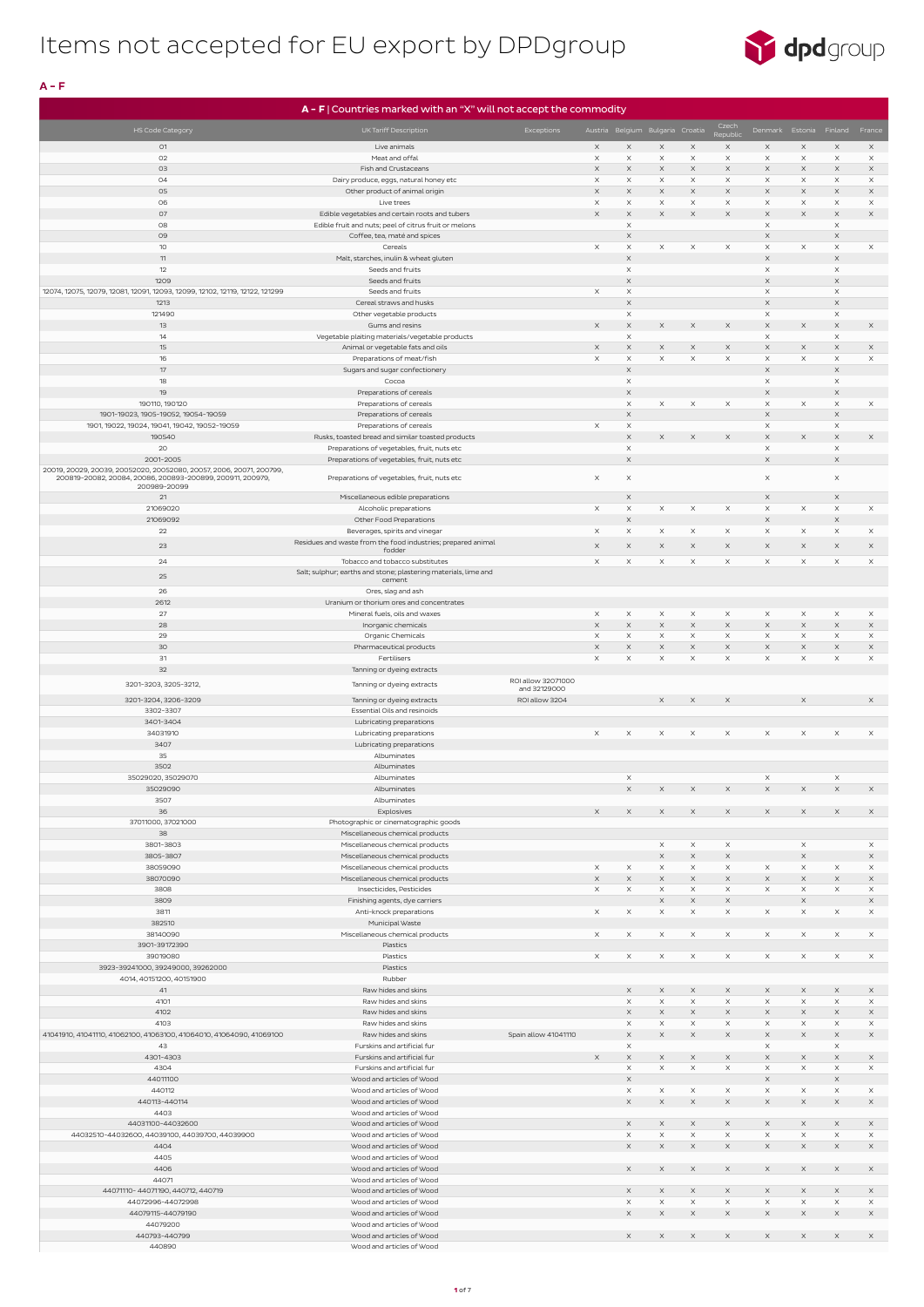

 $A - F$ 

|                                                                              | A - F   Countries marked with an "X" will not accept the commodity                             |                                    |          |                                  |                       |               |                           |                                   |                       |                         |                         |
|------------------------------------------------------------------------------|------------------------------------------------------------------------------------------------|------------------------------------|----------|----------------------------------|-----------------------|---------------|---------------------------|-----------------------------------|-----------------------|-------------------------|-------------------------|
|                                                                              |                                                                                                |                                    |          |                                  |                       |               | Czech                     |                                   |                       |                         |                         |
| <b>HS Code Category</b>                                                      | UK Tariff Description                                                                          | Exceptions                         |          | Austria Belgium Bulgaria Croatia |                       |               | Republic                  |                                   |                       | Denmark Estonia Finland | France                  |
| 01                                                                           | Live animals                                                                                   |                                    | $\times$ | $\times$                         | $\times$              | $\mathsf X$   | $\mathsf X$               | $\times$                          | $\times$              | $\times$                | $\times$                |
| O2                                                                           | Meat and offal                                                                                 |                                    | $\times$ | X                                | $\times$              | X             | $\times$                  | $\times$                          | $\times$              | $\times$                | $\times$                |
| O3                                                                           | Fish and Crustaceans                                                                           |                                    | $\times$ | X                                | $\times$              | $\times$      | $\boldsymbol{\times}$     | $\times$                          | X                     | $\times$                | $\times$                |
| 04                                                                           | Dairy produce, eggs, natural honey etc                                                         |                                    | $\times$ | $\times$                         | $\times$              | $\times$      | $\mathsf X$               | $\times$                          | $\times$              | $\times$                | $\times$                |
| 05                                                                           | Other product of animal origin                                                                 |                                    | $\times$ | $\times$                         | $\times$              | $\times$      | $\boldsymbol{\times}$     | $\times$                          | X                     | $\times$                | $\times$                |
| 06                                                                           | Live trees                                                                                     |                                    | $\times$ | $\times$                         | $\times$              | X             | $\times$                  | $\times$                          | $\times$              | $\times$                | $\times$                |
| 07                                                                           | Edible vegetables and certain roots and tubers                                                 |                                    | $\times$ | $\times$                         | $\times$              | $\times$      | $\boldsymbol{\times}$     | $\boldsymbol{\times}$             | $\times$              | $\boldsymbol{\times}$   | $\boldsymbol{\times}$   |
| 08                                                                           | Edible fruit and nuts; peel of citrus fruit or melons                                          |                                    |          | $\times$                         |                       |               |                           | $\mathsf X$                       |                       | $\times$                |                         |
| 09                                                                           | Coffee, tea, maté and spices                                                                   |                                    |          | X                                |                       |               |                           | $\boldsymbol{\times}$             |                       | $\boldsymbol{\times}$   |                         |
| 10 <sup>°</sup>                                                              | Cereals                                                                                        |                                    | $\times$ | $\times$                         | $\times$              | $\times$      | $\times$                  | $\times$                          | $\times$              | $\times$                | $\times$                |
| 11                                                                           | Malt, starches, inulin & wheat gluten                                                          |                                    |          | $\times$                         |                       |               |                           | $\times$                          |                       | $\times$                |                         |
| 12                                                                           | Seeds and fruits                                                                               |                                    |          | $\times$                         |                       |               |                           | $\times$                          |                       | $\times$                |                         |
| 1209                                                                         | Seeds and fruits                                                                               |                                    |          | $\times$                         |                       |               |                           | $\mathsf X$                       |                       | $\times$                |                         |
| 12074, 12075, 12079, 12081, 12091, 12093, 12099, 12102, 12119, 12122, 121299 | Seeds and fruits                                                                               |                                    | $\times$ | $\times$                         |                       |               |                           | $\times$                          |                       | $\times$                |                         |
| 1213                                                                         | Cereal straws and husks                                                                        |                                    |          | X                                |                       |               |                           | $\boldsymbol{\times}$             |                       | $\times$                |                         |
| 121490                                                                       | Other vegetable products                                                                       |                                    |          | $\times$                         |                       |               |                           | $\times$                          |                       | $\times$                |                         |
| 13<br>14                                                                     | Gums and resins                                                                                |                                    | $\times$ | X<br>$\times$                    | $\times$              | $\times$      | $\mathsf X$               | X<br>$\mathsf X$                  | X                     | $\times$<br>$\times$    | $\times$                |
| 15                                                                           | Vegetable plaiting materials/vegetable products<br>Animal or vegetable fats and oils           |                                    | $\times$ | $\times$                         | $\times$              | $\times$      | $\boldsymbol{\times}$     | $\times$                          | $\times$              | $\times$                | $\times$                |
| 16                                                                           | Preparations of meat/fish                                                                      |                                    | $\times$ | $\times$                         | $\times$              | $\mathsf X$   | $\mathsf X$               | $\times$                          | $\boldsymbol{\times}$ | $\times$                | $\times$                |
| 17                                                                           | Sugars and sugar confectionery                                                                 |                                    |          | $\times$                         |                       |               |                           | $\boldsymbol{\times}$             |                       | $\times$                |                         |
| 18                                                                           | Cocoa                                                                                          |                                    |          | $\times$                         |                       |               |                           | $\times$                          |                       | $\times$                |                         |
| 19                                                                           | Preparations of cereals                                                                        |                                    |          | $\times$                         |                       |               |                           | $\boldsymbol{\times}$             |                       | $\boldsymbol{\times}$   |                         |
| 190110, 190120                                                               | Preparations of cereals                                                                        |                                    |          | $\times$                         | $\times$              | X             | $\times$                  | $\times$                          | $\times$              | $\times$                | $\times$                |
| 1901-19023, 1905-19052, 19054-19059                                          | Preparations of cereals                                                                        |                                    |          | X                                |                       |               |                           | $\mathsf X$                       |                       | $\times$                |                         |
| 1901, 19022, 19024, 19041, 19042, 19052-19059                                | Preparations of cereals                                                                        |                                    | $\times$ | $\times$                         |                       |               |                           | $\times$                          |                       | $\times$                |                         |
| 190540                                                                       | Rusks, toasted bread and similar toasted products                                              |                                    |          | $\times$                         | $\times$              | $\times$      | $\mathsf X$               | $\boldsymbol{\times}$             | $\times$              | $\times$                | $\times$                |
| 20                                                                           | Preparations of vegetables, fruit, nuts etc                                                    |                                    |          | $\times$                         |                       |               |                           | $\mathsf X$                       |                       | $\times$                |                         |
| 2001-2005                                                                    | Preparations of vegetables, fruit, nuts etc                                                    |                                    |          | $\times$                         |                       |               |                           | $\times$                          |                       | $\times$                |                         |
| 20019, 20029, 20039, 20052020, 20052080, 20057, 2006, 20071, 200799,         |                                                                                                |                                    |          |                                  |                       |               |                           |                                   |                       |                         |                         |
| 200819-20082, 20084, 20086, 200893-200899, 200911, 200979,                   | Preparations of vegetables, fruit, nuts etc                                                    |                                    | $\times$ | $\times$                         |                       |               |                           | $\times$                          |                       | $\times$                |                         |
| 200989-20099                                                                 |                                                                                                |                                    |          |                                  |                       |               |                           |                                   |                       |                         |                         |
| 21                                                                           | Miscellaneous edible preparations                                                              |                                    |          | X                                |                       |               |                           | $\times$                          |                       | $\boldsymbol{\times}$   |                         |
| 21069020                                                                     | Alcoholic preparations                                                                         |                                    | $\times$ | $\times$                         | $\times$              | $\times$      | $\times$                  | $\times$                          | $\times$              | $\times$                | $\times$                |
| 21069092<br>22                                                               | Other Food Preparations                                                                        |                                    | $\times$ | $\times$<br>$\times$             | $\times$              | $\times$      | $\times$                  | $\boldsymbol{\times}$<br>$\times$ | $\times$              | $\mathsf X$<br>$\times$ | $\times$                |
|                                                                              | Beverages, spirits and vinegar<br>Residues and waste from the food industries; prepared animal |                                    |          |                                  |                       |               |                           |                                   |                       |                         |                         |
| 23                                                                           | fodder                                                                                         |                                    | $\times$ | X                                | X                     | X             | $\boldsymbol{\mathsf{X}}$ | $\times$                          | X                     | $\times$                | $\times$                |
| 24                                                                           | Tobacco and tobacco substitutes                                                                |                                    | $\times$ | $\times$                         | $\times$              | $\times$      | $\times$                  | $\times$                          | $\times$              | $\times$                | $\times$                |
| 25                                                                           | Salt; sulphur; earths and stone; plastering materials, lime and                                |                                    |          |                                  |                       |               |                           |                                   |                       |                         |                         |
|                                                                              | cement                                                                                         |                                    |          |                                  |                       |               |                           |                                   |                       |                         |                         |
| 26                                                                           | Ores, slag and ash                                                                             |                                    |          |                                  |                       |               |                           |                                   |                       |                         |                         |
| 2612                                                                         | Uranium or thorium ores and concentrates                                                       |                                    |          |                                  |                       |               |                           |                                   |                       |                         |                         |
| 27                                                                           | Mineral fuels, oils and waxes                                                                  |                                    | $\times$ | $\times$                         | $\times$              | X             | $\times$                  | $\times$                          | $\times$              | $\boldsymbol{\times}$   | $\times$                |
| 28                                                                           | Inorganic chemicals                                                                            |                                    | $\times$ | $\times$                         | $\times$              | $\mathsf X$   | $\mathsf X$               | $\mathsf X$                       | $\times$              | $\times$                | $\times$                |
| 29                                                                           | Organic Chemicals                                                                              |                                    | $\times$ | $\times$                         | $\times$              | $\times$      | $\mathsf X$               | $\mathsf X$                       | $\times$              | $\times$                | $\mathsf X$             |
| 30                                                                           | Pharmaceutical products                                                                        |                                    | $\times$ | $\times$                         | $\times$              | $\times$      | $\mathsf X$               | $\boldsymbol{\times}$             | $\times$              | $\times$                | $\mathsf X$             |
| 31                                                                           | Fertilisers                                                                                    |                                    | $\times$ | $\times$                         | $\times$              | X             | $\times$                  | $\times$                          | $\times$              | $\times$                | $\times$                |
| 32                                                                           | Tanning or dyeing extracts                                                                     |                                    |          |                                  |                       |               |                           |                                   |                       |                         |                         |
| 3201-3203, 3205-3212,                                                        | Tanning or dyeing extracts                                                                     | ROI allow 32071000<br>and 32129000 |          |                                  |                       |               |                           |                                   |                       |                         |                         |
| 3201-3204, 3206-3209                                                         | Tanning or dyeing extracts                                                                     | ROI allow 3204                     |          |                                  | $\times$              | $\times$      | $\boldsymbol{\mathsf{X}}$ |                                   | $\times$              |                         | $\times$                |
| 3302-3307                                                                    | Essential Oils and resinoids                                                                   |                                    |          |                                  |                       |               |                           |                                   |                       |                         |                         |
| 3401-3404                                                                    | Lubricating preparations                                                                       |                                    |          |                                  |                       |               |                           |                                   |                       |                         |                         |
| 34031910                                                                     | Lubricating preparations                                                                       |                                    | $\times$ | $\times$                         | $\times$              | $\times$      | $\times$                  | $\times$                          | $\times$              | $\times$                | $\times$                |
| 3407                                                                         | Lubricating preparations                                                                       |                                    |          |                                  |                       |               |                           |                                   |                       |                         |                         |
| 35                                                                           | Albuminates                                                                                    |                                    |          |                                  |                       |               |                           |                                   |                       |                         |                         |
| 3502                                                                         | Albuminates                                                                                    |                                    |          |                                  |                       |               |                           |                                   |                       |                         |                         |
| 35029020, 35029070                                                           | Albuminates                                                                                    |                                    |          | $\times$                         |                       |               |                           | $\times$                          |                       | $\times$                |                         |
| 35029090                                                                     | Albuminates                                                                                    |                                    |          | $\times$                         | $\times$              | $\mathsf X$   | $\times$                  | $\mathsf X$                       | $\times$              | $\times$                | $\times$                |
| 3507                                                                         | Albuminates                                                                                    |                                    |          |                                  |                       |               |                           |                                   |                       |                         |                         |
| 36                                                                           | Explosives                                                                                     |                                    | $\times$ | $\times$                         | $\times$              | $\mathsf X$   | $\times$                  | $\times$                          | $\times$              | $\mathsf X$             | $\times$                |
| 37011000, 37021000                                                           | Photographic or cinematographic goods                                                          |                                    |          |                                  |                       |               |                           |                                   |                       |                         |                         |
| 38                                                                           | Miscellaneous chemical products                                                                |                                    |          |                                  |                       |               |                           |                                   |                       |                         |                         |
| 3801-3803                                                                    | Miscellaneous chemical products                                                                |                                    |          |                                  | $\times$              | X             | $\times$                  |                                   | $\times$              |                         | $\times$                |
| 3805-3807                                                                    | Miscellaneous chemical products                                                                |                                    |          |                                  | $\times$              | $\mathsf X$   | $\boldsymbol{\times}$     |                                   | $\mathsf X$           |                         | $\mathsf X$             |
| 38059090                                                                     | Miscellaneous chemical products                                                                |                                    | $\times$ | $\times$                         | $\times$              | $\times$      | $\times$                  | $\times$                          | $\times$              | $\times$                | $\times$                |
| 38070090                                                                     | Miscellaneous chemical products                                                                |                                    | $\times$ | $\times$                         | $\boldsymbol{\times}$ | $\times$      | $\mathsf X$               | $\boldsymbol{\times}$             | $\times$              | $\times$                | $\times$                |
| 3808                                                                         | Insecticides, Pesticides                                                                       |                                    | $\times$ | $\times$                         | $\times$              | $\times$      | $\mathsf X$               | $\mathsf X$                       | $\times$              | $\times$                | $\times$                |
| 3809                                                                         | Finishing agents, dye carriers                                                                 |                                    |          |                                  | $\times$              | $\times$      | $\mathsf X$               |                                   | $\times$              |                         | $\mathsf X$             |
| 3811                                                                         | Anti-knock preparations                                                                        |                                    | $\times$ | $\times$                         | $\times$              | $\times$      | $\mathsf X$               | $\mathsf X$                       | $\times$              | $\times$                | $\mathsf X$             |
| 382510                                                                       | Municipal Waste                                                                                |                                    |          |                                  |                       |               |                           |                                   |                       |                         |                         |
| 38140090                                                                     | Miscellaneous chemical products                                                                |                                    | $\times$ | $\times$                         | $\times$              | $\times$      | $\times$                  | $\times$                          | $\times$              | $\times$                | $\times$                |
| 3901-39172390                                                                | Plastics                                                                                       |                                    |          |                                  |                       |               |                           |                                   |                       |                         |                         |
| 39019080                                                                     | Plastics                                                                                       |                                    | $\times$ | $\times$                         | $\times$              | $\times$      | $\times$                  | $\times$                          | $\times$              | $\times$                | $\times$                |
| 3923-39241000, 39249000, 39262000                                            | Plastics                                                                                       |                                    |          |                                  |                       |               |                           |                                   |                       |                         |                         |
| 4014, 40151200, 40151900                                                     | Rubber                                                                                         |                                    |          |                                  |                       |               |                           |                                   |                       |                         |                         |
| 41                                                                           | Raw hides and skins                                                                            |                                    |          | $\times$                         | $\times$              | $\times$      | $\times$                  | $\times$                          | $\times$              | $\times$                | $\times$                |
| 4101                                                                         | Raw hides and skins                                                                            |                                    |          | X                                | $\times$              | X             | $\mathsf X$               | $\mathsf X$                       | $\times$              | $\times$                | $\times$                |
| 4102<br>4103                                                                 | Raw hides and skins<br>Raw hides and skins                                                     |                                    |          | $\times$<br>$\times$             | $\times$<br>$\times$  | $\times$<br>X | $\times$<br>$\mathsf X$   | X<br>$\times$                     | $\times$<br>$\times$  | $\times$<br>$\times$    | $\times$<br>$\mathsf X$ |
| 41041910, 41041110, 41062100, 41063100, 41064010, 41064090, 41069100         | Raw hides and skins                                                                            | Spain allow 41041110               |          | $\times$                         | $\times$              | $\times$      | $\boldsymbol{\times}$     | $\boldsymbol{\times}$             | $\times$              | $\times$                | $\boldsymbol{\times}$   |
| 43                                                                           | Furskins and artificial fur                                                                    |                                    |          | $\times$                         |                       |               |                           | $\mathsf X$                       |                       | $\times$                |                         |
| 4301-4303                                                                    | Furskins and artificial fur                                                                    |                                    | $\times$ | $\times$                         | $\times$              | $\times$      | $\times$                  | $\boldsymbol{\times}$             | $\times$              | $\mathsf X$             | $\times$                |
| 4304                                                                         | Furskins and artificial fur                                                                    |                                    |          | $\times$                         | $\times$              | X             | $\mathsf X$               | $\mathsf X$                       | $\times$              | $\mathsf X$             | $\mathsf X$             |
| 44011100                                                                     | Wood and articles of Wood                                                                      |                                    |          | X                                |                       |               |                           | $\boldsymbol{\times}$             |                       | $\mathsf X$             |                         |
| 440112                                                                       | Wood and articles of Wood                                                                      |                                    |          | X                                | X                     | X             | X                         |                                   | X                     | X                       |                         |
| 440113-440114                                                                | Wood and articles of Wood                                                                      |                                    |          | X                                | X                     | X             | X                         | X                                 | X                     | $\boldsymbol{\times}$   | X                       |
| 4403                                                                         | Wood and articles of Wood                                                                      |                                    |          |                                  |                       |               |                           |                                   |                       |                         |                         |
| 44031100-44032600                                                            | Wood and articles of Wood                                                                      |                                    |          | X.                               | X                     | X             | $\times$                  | $\times$                          | X                     | $\times$                | $\times$                |
| 44032510-44032600, 44039100, 44039700, 44039900                              | Wood and articles of Wood                                                                      |                                    |          | X                                | $\times$              | X             | $\mathsf X$               | $\times$                          | $\times$              | $\times$                | $\times$                |
| 4404                                                                         | Wood and articles of Wood                                                                      |                                    |          | $\times$                         | $\times$              | $\times$      | $\times$                  | $\mathsf X$                       | $\times$              | $\times$                | $\boldsymbol{\times}$   |
| 4405                                                                         | Wood and articles of Wood                                                                      |                                    |          |                                  |                       |               |                           |                                   |                       |                         |                         |
| 4406                                                                         | Wood and articles of Wood                                                                      |                                    |          | X                                | X                     | X             | X                         | $\times$                          | X                     | $\times$                | $\times$                |
| 44071                                                                        | Wood and articles of Wood                                                                      |                                    |          |                                  |                       |               |                           |                                   |                       |                         |                         |
| 44071110-44071190, 440712, 440719                                            | Wood and articles of Wood                                                                      |                                    |          | X.                               | X                     | X             | X                         | X                                 | X                     | X                       | X                       |
| 44072996-44072998                                                            | Wood and articles of Wood                                                                      |                                    |          | X                                | $\times$              | $\times$      | $\mathsf X$               | $\boldsymbol{\times}$             | $\times$              | $\times$                | $\times$                |
| 44079115-44079190                                                            | Wood and articles of Wood                                                                      |                                    |          | X                                | X                     | X             | $\boldsymbol{\mathsf{X}}$ | $\times$                          | X                     | X                       | X                       |
| 44079200                                                                     | Wood and articles of Wood                                                                      |                                    |          |                                  |                       |               |                           |                                   |                       |                         |                         |
| 440793-440799                                                                | Wood and articles of Wood                                                                      |                                    |          | $\times$                         | X                     | $\times$      | $\times$                  | $\times$                          | $\times$              | $\times$                | $\times$                |
| 440890                                                                       | Wood and articles of Wood                                                                      |                                    |          |                                  |                       |               |                           |                                   |                       |                         |                         |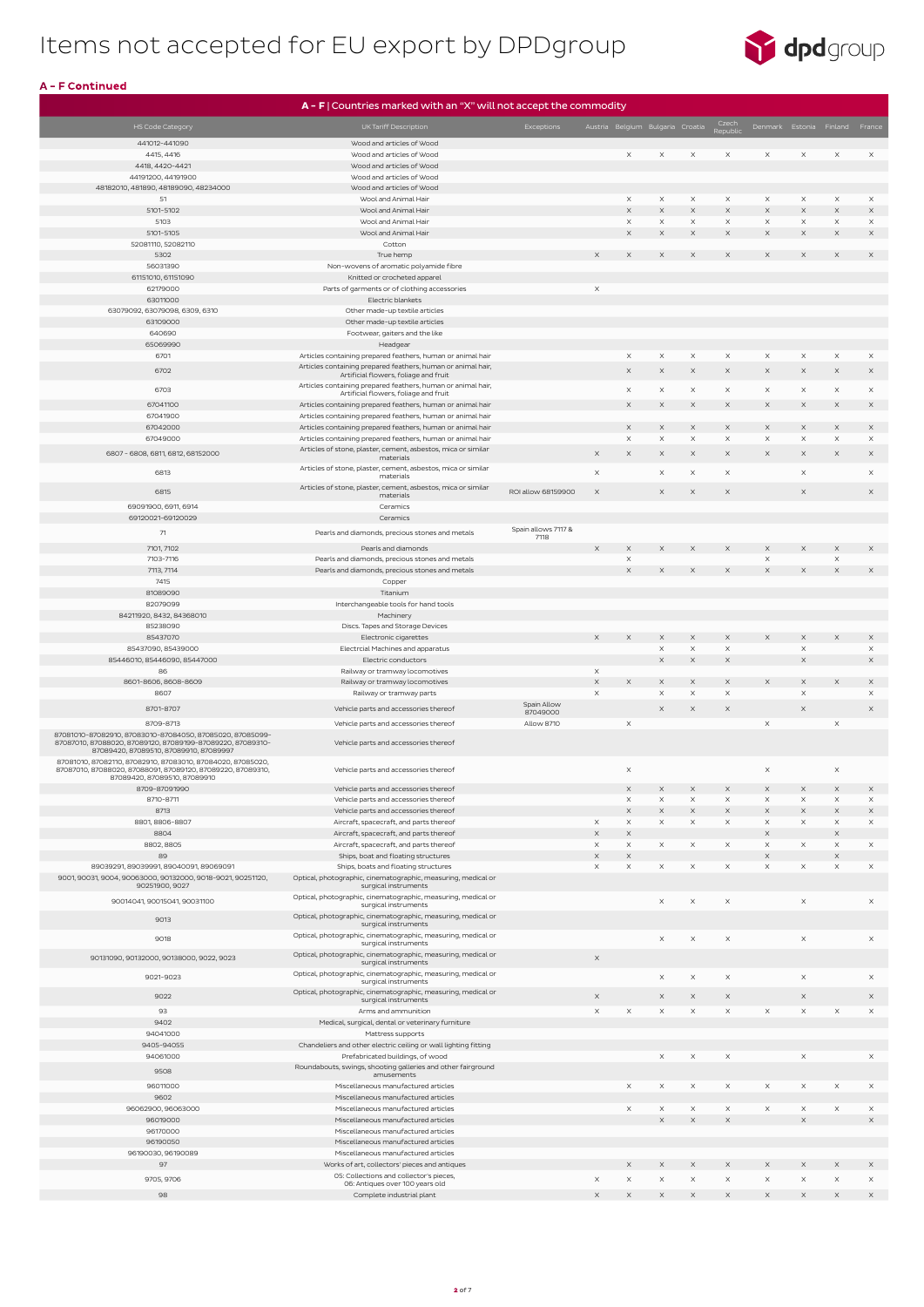

|                                                                                                                            | $A - F$   Countries marked with an "X" will not accept the commodity                                                       |                     |                           |                       |                                  |                      |                      |                       |                                |                                |                       |
|----------------------------------------------------------------------------------------------------------------------------|----------------------------------------------------------------------------------------------------------------------------|---------------------|---------------------------|-----------------------|----------------------------------|----------------------|----------------------|-----------------------|--------------------------------|--------------------------------|-----------------------|
| <b>HS Code Category</b>                                                                                                    | UK Tariff Description                                                                                                      | Exceptions          |                           |                       | Austria Belgium Bulgaria Croatia |                      | Czech                |                       |                                | Denmark Estonia Finland France |                       |
| 441012-441090                                                                                                              | Wood and articles of Wood                                                                                                  |                     |                           |                       |                                  |                      | Republic             |                       |                                |                                |                       |
| 4415, 4416                                                                                                                 | Wood and articles of Wood                                                                                                  |                     |                           | $\times$              | X                                | $\times$             | $\times$             | $\times$              | $\times$                       | $\times$                       | $\times$              |
| 4418, 4420-4421                                                                                                            | Wood and articles of Wood                                                                                                  |                     |                           |                       |                                  |                      |                      |                       |                                |                                |                       |
| 44191200, 44191900                                                                                                         | Wood and articles of Wood                                                                                                  |                     |                           |                       |                                  |                      |                      |                       |                                |                                |                       |
| 48182010, 481890, 48189090, 48234000<br>51                                                                                 | Wood and articles of Wood                                                                                                  |                     |                           |                       | $\times$                         | $\times$             |                      |                       |                                |                                |                       |
| 5101-5102                                                                                                                  | Wool and Animal Hair<br>Wool and Animal Hair                                                                               |                     |                           | $\times$<br>$\times$  | $\mathsf X$                      | X                    | X<br>$\times$        | $\times$<br>$\times$  | X<br>$\boldsymbol{\mathsf{X}}$ | $\times$<br>$\times$           | X<br>$\times$         |
| 5103                                                                                                                       | Wool and Animal Hair                                                                                                       |                     |                           | $\times$              | X                                | X                    | X                    | $\times$              | $\times$                       | $\times$                       | $\times$              |
| 5101-5105                                                                                                                  | Wool and Animal Hair                                                                                                       |                     |                           | $\mathsf X$           | $\times$                         | $\times$             | $\times$             | $\times$              | $\boldsymbol{\mathsf{X}}$      | $\times$                       | $\times$              |
| 52081110, 52082110                                                                                                         | Cotton                                                                                                                     |                     |                           |                       |                                  |                      |                      |                       |                                |                                |                       |
| 5302                                                                                                                       | True hemp                                                                                                                  |                     | $\times$                  | $\times$              | $\times$                         | X                    | X                    | $\times$              | $\times$                       | X                              | $\times$              |
| 56031390<br>61151010, 61151090                                                                                             | Non-wovens of aromatic polyamide fibre<br>Knitted or crocheted apparel                                                     |                     |                           |                       |                                  |                      |                      |                       |                                |                                |                       |
| 62179000                                                                                                                   | Parts of garments or of clothing accessories                                                                               |                     | $\times$                  |                       |                                  |                      |                      |                       |                                |                                |                       |
| 63011000                                                                                                                   | Electric blankets                                                                                                          |                     |                           |                       |                                  |                      |                      |                       |                                |                                |                       |
| 63079092, 63079098, 6309, 6310                                                                                             | Other made-up textile articles                                                                                             |                     |                           |                       |                                  |                      |                      |                       |                                |                                |                       |
| 63109000                                                                                                                   | Other made-up textile articles                                                                                             |                     |                           |                       |                                  |                      |                      |                       |                                |                                |                       |
| 640690<br>65069990                                                                                                         | Footwear, gaiters and the like<br>Headgear                                                                                 |                     |                           |                       |                                  |                      |                      |                       |                                |                                |                       |
| 6701                                                                                                                       | Articles containing prepared feathers, human or animal hair                                                                |                     |                           | $\times$              | $\times$                         | $\times$             | $\times$             | $\times$              | $\times$                       | $\times$                       | $\times$              |
| 6702                                                                                                                       | Articles containing prepared feathers, human or animal hair,                                                               |                     |                           | $\times$              | X                                | $\times$             | $\times$             | $\times$              | $\times$                       | $\times$                       | $\times$              |
|                                                                                                                            | Artificial flowers, foliage and fruit                                                                                      |                     |                           |                       |                                  |                      |                      |                       |                                |                                |                       |
| 6703                                                                                                                       | Articles containing prepared feathers, human or animal hair,<br>Artificial flowers, foliage and fruit                      |                     |                           | $\times$              | X                                | X                    | $\times$             | $\times$              | $\times$                       | $\times$                       | $\times$              |
| 67041100                                                                                                                   | Articles containing prepared feathers, human or animal hair                                                                |                     |                           | $\times$              | $\mathsf X$                      | X                    | $\times$             | $\times$              | $\boldsymbol{\mathsf{X}}$      | $\times$                       | $\times$              |
| 67041900                                                                                                                   | Articles containing prepared feathers, human or animal hair                                                                |                     |                           |                       |                                  |                      |                      |                       |                                |                                |                       |
| 67042000<br>67049000                                                                                                       | Articles containing prepared feathers, human or animal hair<br>Articles containing prepared feathers, human or animal hair |                     |                           | $\times$<br>$\times$  | X<br>X                           | X<br>$\times$        | $\times$<br>$\times$ | $\times$<br>$\times$  | $\boldsymbol{\mathsf{X}}$<br>X | $\times$<br>$\times$           | $\times$<br>$\times$  |
|                                                                                                                            | Articles of stone, plaster, cement, asbestos, mica or similar                                                              |                     |                           |                       |                                  |                      |                      |                       |                                |                                |                       |
| 6807 - 6808, 6811, 6812, 68152000                                                                                          | materials                                                                                                                  |                     | $\times$                  | $\times$              | $\times$                         | X                    | X                    | $\times$              | $\boldsymbol{\times}$          | $\times$                       | $\times$              |
| 6813                                                                                                                       | Articles of stone, plaster, cement, asbestos, mica or similar<br>materials                                                 |                     | $\mathsf X$               |                       | X                                | X                    | X                    |                       | X                              |                                | $\times$              |
|                                                                                                                            | Articles of stone, plaster, cement, asbestos, mica or similar                                                              |                     |                           |                       |                                  |                      |                      |                       |                                |                                |                       |
| 6815                                                                                                                       | materials                                                                                                                  | ROI allow 68159900  | $\times$                  |                       | X                                | $\times$             | $\times$             |                       | $\boldsymbol{\mathsf{X}}$      |                                | $\times$              |
| 69091900, 6911, 6914                                                                                                       | Ceramics                                                                                                                   |                     |                           |                       |                                  |                      |                      |                       |                                |                                |                       |
| 69120021-69120029                                                                                                          | Ceramics                                                                                                                   | Spain allows 7117 & |                           |                       |                                  |                      |                      |                       |                                |                                |                       |
| 71                                                                                                                         | Pearls and diamonds, precious stones and metals                                                                            | 7118                |                           |                       |                                  |                      |                      |                       |                                |                                |                       |
| 7101, 7102                                                                                                                 | Pearls and diamonds                                                                                                        |                     | $\times$                  | $\times$              | $\times$                         | $\times$             | $\times$             | $\times$              |                                | $\times$                       | $\times$              |
| 7103-7116<br>7113, 7114                                                                                                    | Pearls and diamonds, precious stones and metals<br>Pearls and diamonds, precious stones and metals                         |                     |                           | $\times$<br>$\times$  | X                                | X                    | $\times$             | $\times$<br>$\times$  | X                              | $\mathsf X$<br>X               | $\times$              |
| 7415                                                                                                                       | Copper                                                                                                                     |                     |                           |                       |                                  |                      |                      |                       |                                |                                |                       |
| 81089090                                                                                                                   | Titanium                                                                                                                   |                     |                           |                       |                                  |                      |                      |                       |                                |                                |                       |
| 82079099                                                                                                                   | Interchangeable tools for hand tools                                                                                       |                     |                           |                       |                                  |                      |                      |                       |                                |                                |                       |
| 84211920, 8432, 84368010                                                                                                   | Machinery                                                                                                                  |                     |                           |                       |                                  |                      |                      |                       |                                |                                |                       |
| 85238090<br>85437070                                                                                                       | Discs. Tapes and Storage Devices                                                                                           |                     | $\times$                  | $\times$              | X                                | $\times$             | $\times$             | $\times$              | $\times$                       | X                              | $\times$              |
| 85437090, 85439000                                                                                                         | Electronic cigarettes<br>Electrcial Machines and apparatus                                                                 |                     |                           |                       | $\mathsf X$                      | $\times$             | $\times$             |                       | $\mathsf X$                    |                                | $\times$              |
| 85446010, 85446090, 85447000                                                                                               | Electric conductors                                                                                                        |                     |                           |                       | $\boldsymbol{\times}$            | $\mathsf X$          | $\times$             |                       | $\mathsf X$                    |                                | $\boldsymbol{\times}$ |
| 86                                                                                                                         | Railway or tramway locomotives                                                                                             |                     | $\times$                  |                       |                                  |                      |                      |                       |                                |                                |                       |
| 8601-8606, 8608-8609                                                                                                       | Railway or tramway locomotives                                                                                             |                     | $\times$                  | $\times$              | X                                | X                    | $\times$             | $\times$              | $\mathsf X$                    | X                              | $\times$              |
| 8607                                                                                                                       | Railway or tramway parts                                                                                                   | Spain Allow         | $\times$                  |                       | $\times$                         | X                    | $\times$             |                       | $\mathsf X$                    |                                | $\times$              |
| 8701-8707                                                                                                                  | Vehicle parts and accessories thereof                                                                                      | 87049000            |                           |                       | $\times$                         | $\times$             | $\times$             |                       | $\times$                       |                                | $\times$              |
| 8709-8713                                                                                                                  | Vehicle parts and accessories thereof                                                                                      | <b>Allow 8710</b>   |                           | $\times$              |                                  |                      |                      | $\times$              |                                | $\times$                       |                       |
| 87081010-87082910, 87083010-87084050, 87085020, 87085099-<br>87087010, 87088020, 87089120, 87089199-87089220, 87089310-    | Vehicle parts and accessories thereof                                                                                      |                     |                           |                       |                                  |                      |                      |                       |                                |                                |                       |
| 87089420, 87089510, 87089910, 87089997                                                                                     |                                                                                                                            |                     |                           |                       |                                  |                      |                      |                       |                                |                                |                       |
| 87081010, 87082110, 87082910, 87083010, 87084020, 87085020,<br>87087010, 87088020, 87088091, 87089120, 87089220, 87089310, | Vehicle parts and accessories thereof                                                                                      |                     |                           | $\times$              |                                  |                      |                      | $\times$              |                                | $\times$                       |                       |
| 87089420, 87089510, 87089910                                                                                               |                                                                                                                            |                     |                           |                       |                                  |                      |                      |                       |                                |                                |                       |
| 8709-87091990                                                                                                              | Vehicle parts and accessories thereof                                                                                      |                     |                           | $\times$              | X                                | X                    | $\times$             | $\times$              | $\times$                       | $\times$                       | $\times$              |
| 8710-8711<br>8713                                                                                                          | Vehicle parts and accessories thereof<br>Vehicle parts and accessories thereof                                             |                     |                           | $\times$<br>$\times$  | $\mathsf X$<br>$\times$          | $\times$<br>$\times$ | $\times$<br>$\times$ | $\times$<br>$\times$  | $\times$<br>$\times$           | $\times$<br>$\times$           | $\times$<br>$\times$  |
| 8801, 8806-8807                                                                                                            | Aircraft, spacecraft, and parts thereof                                                                                    |                     | $\times$                  | $\times$              | $\times$                         | $\times$             | $\times$             | $\times$              | $\times$                       | $\times$                       | $\times$              |
| 8804                                                                                                                       | Aircraft, spacecraft, and parts thereof                                                                                    |                     | $\times$                  | $\times$              |                                  |                      |                      | $\times$              |                                | $\boldsymbol{\times}$          |                       |
| 8802, 8805                                                                                                                 | Aircraft, spacecraft, and parts thereof                                                                                    |                     | $\times$                  | $\times$              | X                                | $\times$             | $\times$             | $\times$              | $\boldsymbol{\times}$          | $\times$                       | $\times$              |
| 89                                                                                                                         | Ships, boat and floating structures                                                                                        |                     | $\boldsymbol{\mathsf{X}}$ | $\boldsymbol{\times}$ |                                  |                      |                      | $\boldsymbol{\times}$ |                                | $\mathsf X$                    |                       |
| 89039291, 89039991, 89040091, 89069091<br>9001, 90031, 9004, 90063000, 90132000, 9018-9021, 90251120,                      | Ships, boats and floating structures<br>Optical, photographic, cinematographic, measuring, medical or                      |                     | $\times$                  | $\times$              | $\times$                         | $\times$             | $\times$             | $\times$              | $\times$                       | $\times$                       | $\times$              |
| 90251900, 9027                                                                                                             | surgical instruments                                                                                                       |                     |                           |                       |                                  |                      |                      |                       |                                |                                |                       |
| 90014041, 90015041, 90031100                                                                                               | Optical, photographic, cinematographic, measuring, medical or<br>surgical instruments                                      |                     |                           |                       | $\times$                         | $\times$             | $\times$             |                       | $\times$                       |                                | X                     |
|                                                                                                                            | Optical, photographic, cinematographic, measuring, medical or                                                              |                     |                           |                       |                                  |                      |                      |                       |                                |                                |                       |
| 9013                                                                                                                       | surgical instruments                                                                                                       |                     |                           |                       |                                  |                      |                      |                       |                                |                                |                       |
| 9018                                                                                                                       | Optical, photographic, cinematographic, measuring, medical or<br>surgical instruments                                      |                     |                           |                       | X                                | $\times$             | $\times$             |                       | $\times$                       |                                | $\times$              |
| 90131090, 90132000, 90138000, 9022, 9023                                                                                   | Optical, photographic, cinematographic, measuring, medical or                                                              |                     | $\times$                  |                       |                                  |                      |                      |                       |                                |                                |                       |
|                                                                                                                            | surgical instruments                                                                                                       |                     |                           |                       |                                  |                      |                      |                       |                                |                                |                       |
| 9021-9023                                                                                                                  | Optical, photographic, cinematographic, measuring, medical or<br>surgical instruments                                      |                     |                           |                       | X                                | X                    | $\times$             |                       | $\times$                       |                                | $\times$              |
| 9022                                                                                                                       | Optical, photographic, cinematographic, measuring, medical or                                                              |                     | $\boldsymbol{\times}$     |                       | $\times$                         | $\times$             | $\times$             |                       | $\mathsf X$                    |                                | $\times$              |
| 93                                                                                                                         | surgical instruments<br>Arms and ammunition                                                                                |                     | $\times$                  | $\times$              | $\times$                         | $\times$             | $\times$             | $\times$              | $\times$                       | $\times$                       | $\times$              |
| 9402                                                                                                                       | Medical, surgical, dental or veterinary furniture                                                                          |                     |                           |                       |                                  |                      |                      |                       |                                |                                |                       |
| 94041000                                                                                                                   | Mattress supports                                                                                                          |                     |                           |                       |                                  |                      |                      |                       |                                |                                |                       |
| 9405-94055                                                                                                                 | Chandeliers and other electric ceiling or wall lighting fitting                                                            |                     |                           |                       |                                  |                      |                      |                       |                                |                                |                       |
| 94061000                                                                                                                   | Prefabricated buildings, of wood                                                                                           |                     |                           |                       | X                                | $\times$             | $\times$             |                       | $\times$                       |                                | $\times$              |
| 9508                                                                                                                       | Roundabouts, swings, shooting galleries and other fairground<br>amusements                                                 |                     |                           |                       |                                  |                      |                      |                       |                                |                                |                       |
| 96011000                                                                                                                   | Miscellaneous manufactured articles                                                                                        |                     |                           |                       |                                  |                      |                      |                       |                                |                                |                       |
| 9602                                                                                                                       | Miscellaneous manufactured articles                                                                                        |                     |                           |                       |                                  |                      |                      |                       |                                |                                |                       |
| 96062900, 96063000<br>96019000                                                                                             | Miscellaneous manufactured articles<br>Miscellaneous manufactured articles                                                 |                     |                           | $\times$              | X<br>$\times$                    | X<br>$\times$        | $\times$<br>$\times$ | $\times$              | $\times$<br>$\times$           | $\times$                       | X<br>$\times$         |
| 96170000                                                                                                                   | Miscellaneous manufactured articles                                                                                        |                     |                           |                       |                                  |                      |                      |                       |                                |                                |                       |
| 96190050                                                                                                                   | Miscellaneous manufactured articles                                                                                        |                     |                           |                       |                                  |                      |                      |                       |                                |                                |                       |
| 96190030, 96190089                                                                                                         | Miscellaneous manufactured articles                                                                                        |                     |                           |                       |                                  |                      |                      |                       |                                |                                |                       |
| 97                                                                                                                         | Works of art, collectors' pieces and antiques                                                                              |                     |                           | X                     | $\times$                         | $\times$             | $\times$             | $\times$              | $\times$                       | X                              | $\times$              |
| 9705, 9706                                                                                                                 | 05: Collections and collector's pieces,<br>06: Antiques over 100 years old                                                 |                     | $\times$                  | $\times$              | X                                | X                    | X                    | $\times$              | X                              | $\times$                       | X                     |
| 98                                                                                                                         | Complete industrial plant                                                                                                  |                     | $\times$                  | $\times$              | $\mathsf X$                      | $\times$             | $\times$             | $\times$              | $\boldsymbol{\mathsf{X}}$      | $\times$                       | $\times$              |

### A - F Continued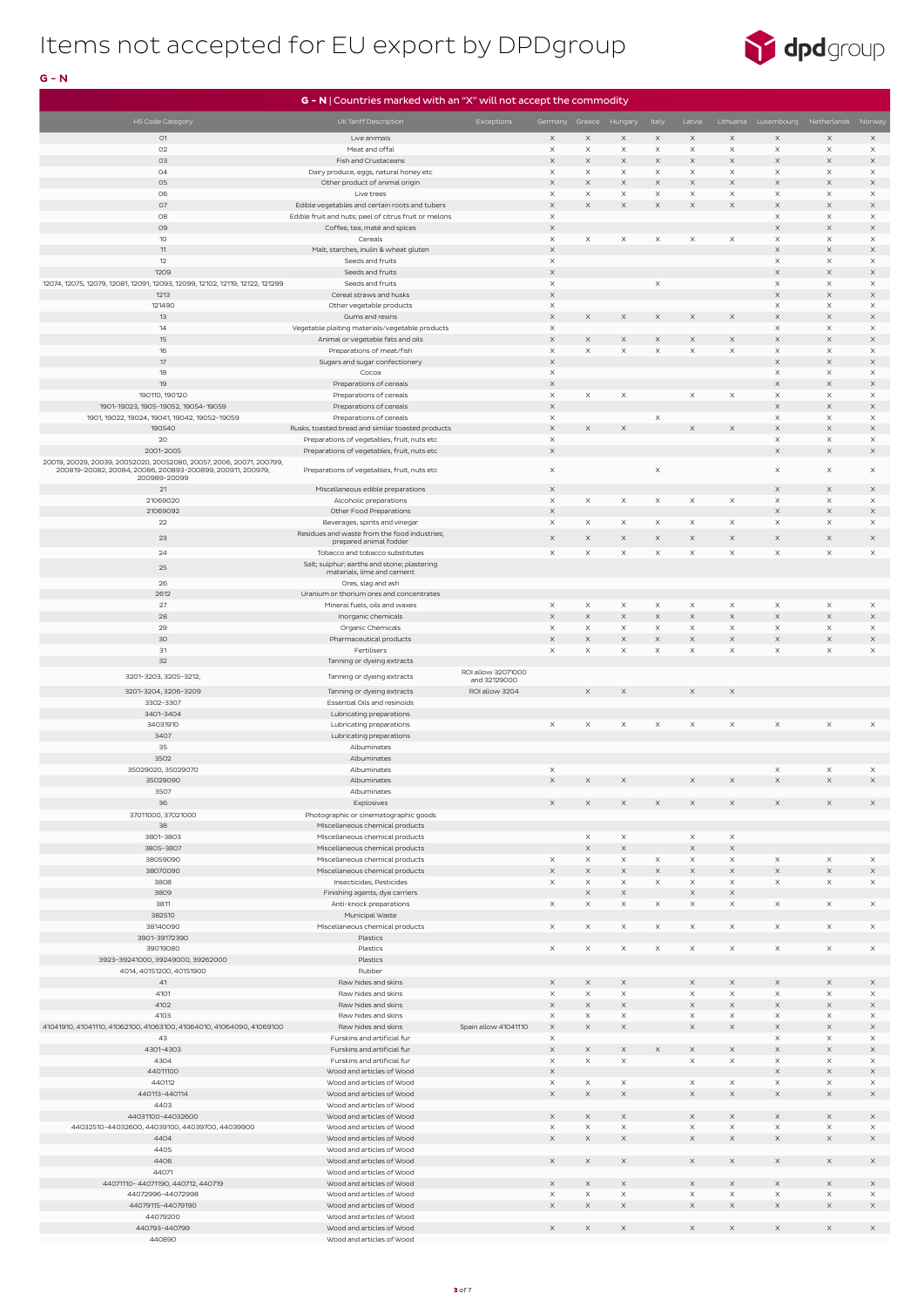

### $G - N$

|                                                                                      | $G - N$   Countries marked with an "X" will not accept the commodity           |                      |                                   |                                   |                         |                      |                       |                                   |                                          |                                  |                                          |
|--------------------------------------------------------------------------------------|--------------------------------------------------------------------------------|----------------------|-----------------------------------|-----------------------------------|-------------------------|----------------------|-----------------------|-----------------------------------|------------------------------------------|----------------------------------|------------------------------------------|
| <b>HS Code Category</b>                                                              | UK Tariff Description                                                          | Exceptions           | Germany Greece Hungary            |                                   |                         | Italy                | Latvia                |                                   |                                          | Lithuania Luxembourg Netherlands | Norway                                   |
| 01                                                                                   | Live animals                                                                   |                      | $\times$                          | $\mathsf X$                       | $\times$                | $\times$             | $\times$              | $\times$                          | $\times$                                 | $\times$                         | $\times$                                 |
| O2                                                                                   | Meat and offal                                                                 |                      | $\times$                          | $\times$                          | $\times$                | $\times$             | $\times$              | $\times$                          | $\times$                                 | $\times$                         | $\times$                                 |
| 03                                                                                   | Fish and Crustaceans                                                           |                      | $\boldsymbol{\times}$             | $\boldsymbol{\times}$             | $\times$                | $\times$             | X                     | $\times$                          | $\mathsf X$                              | $\times$                         | $\times$                                 |
| 04                                                                                   | Dairy produce, eggs, natural honey etc                                         |                      | $\times$                          | $\times$                          | X                       | $\times$             | X                     | $\times$                          | $\times$                                 | X                                | $\times$                                 |
| 05                                                                                   | Other product of animal origin                                                 |                      | X                                 | $\boldsymbol{\times}$             | $\times$                | $\times$             | X                     | $\times$                          | X                                        | X                                | $\times$                                 |
| 06<br>07                                                                             | Live trees<br>Edible vegetables and certain roots and tubers                   |                      | $\times$<br>$\times$              | $\times$<br>$\boldsymbol{\times}$ | X<br>$\times$           | $\times$<br>$\times$ | X<br>X                | $\times$<br>$\boldsymbol{\times}$ | $\times$<br>$\mathsf X$                  | $\times$<br>$\times$             | $\mathsf X$<br>$\times$                  |
| 08                                                                                   | Edible fruit and nuts; peel of citrus fruit or melons                          |                      | $\times$                          |                                   |                         |                      |                       |                                   | $\times$                                 | $\times$                         | $\times$                                 |
| 09                                                                                   | Coffee, tea, maté and spices                                                   |                      | $\mathsf X$                       |                                   |                         |                      |                       |                                   | $\mathsf X$                              | $\mathsf X$                      | $\boldsymbol{\mathsf{X}}$                |
| 10 <sup>°</sup>                                                                      | Cereals                                                                        |                      | $\times$                          | $\times$                          | $\times$                | $\times$             | $\times$              | $\times$                          | $\times$                                 | $\times$                         | $\times$                                 |
| 11                                                                                   | Malt, starches, inulin & wheat gluten                                          |                      | $\boldsymbol{\times}$             |                                   |                         |                      |                       |                                   | X                                        | $\times$                         | $\times$                                 |
| 12<br>1209                                                                           | Seeds and fruits<br>Seeds and fruits                                           |                      | $\times$<br>$\boldsymbol{\times}$ |                                   |                         |                      |                       |                                   | $\times$<br>$\boldsymbol{\times}$        | $\times$<br>$\times$             | $\mathsf X$<br>$\times$                  |
| 12074, 12075, 12079, 12081, 12091, 12093, 12099, 12102, 12119, 12122, 121299         | Seeds and fruits                                                               |                      | $\times$                          |                                   |                         | $\times$             |                       |                                   | $\times$                                 | X                                | $\times$                                 |
| 1213                                                                                 | Cereal straws and husks                                                        |                      | $\times$                          |                                   |                         |                      |                       |                                   | $\times$                                 | $\times$                         | $\times$                                 |
| 121490                                                                               | Other vegetable products                                                       |                      | $\times$                          |                                   |                         |                      |                       |                                   | $\times$                                 | $\times$                         | $\mathsf X$                              |
| 13                                                                                   | Gums and resins                                                                |                      | $\mathsf X$                       | $\mathsf X$                       | $\times$                | $\times$             | X                     | $\times$                          | $\mathsf X$                              | $\times$                         | $\boldsymbol{\mathsf{X}}$                |
| 14<br>15                                                                             | Vegetable plaiting materials/vegetable products                                |                      | $\times$<br>$\times$              | $\boldsymbol{\times}$             | $\times$                | $\times$             | X                     | X                                 | $\times$<br>X                            | X<br>$\times$                    | $\times$<br>$\times$                     |
| 16                                                                                   | Animal or vegetable fats and oils<br>Preparations of meat/fish                 |                      | $\times$                          | $\mathsf X$                       | X                       | $\times$             | X                     | $\times$                          | $\times$                                 | X                                | $\mathsf X$                              |
| 17                                                                                   | Sugars and sugar confectionery                                                 |                      | $\mathsf X$                       |                                   |                         |                      |                       |                                   | $\mathsf X$                              | $\times$                         | $\boldsymbol{\mathsf{X}}$                |
| 18                                                                                   | Cocoa                                                                          |                      | $\times$                          |                                   |                         |                      |                       |                                   | $\times$                                 | $\times$                         | $\times$                                 |
| 19                                                                                   | Preparations of cereals                                                        |                      | $\times$                          |                                   |                         |                      |                       |                                   | $\times$                                 | $\times$                         | $\times$                                 |
| 190110, 190120                                                                       | Preparations of cereals                                                        |                      | $\times$                          | $\times$                          | $\times$                |                      | $\times$              | X                                 | $\times$                                 | $\times$                         | $\times$                                 |
| 1901-19023, 1905-19052, 19054-19059<br>1901, 19022, 19024, 19041, 19042, 19052-19059 | Preparations of cereals<br>Preparations of cereals                             |                      | $\boldsymbol{\times}$<br>$\times$ |                                   |                         | $\times$             |                       |                                   | $\mathsf X$<br>$\times$                  | $\times$<br>$\times$             | $\boldsymbol{\mathsf{X}}$<br>$\mathsf X$ |
| 190540                                                                               | Rusks, toasted bread and similar toasted products                              |                      | $\times$                          | $\boldsymbol{\times}$             | $\mathsf X$             |                      | $\times$              | $\boldsymbol{\times}$             | $\mathsf X$                              | $\times$                         | $\boldsymbol{\mathsf{X}}$                |
| 20                                                                                   | Preparations of vegetables, fruit, nuts etc                                    |                      | $\times$                          |                                   |                         |                      |                       |                                   | $\times$                                 | X                                | $\times$                                 |
| 2001-2005                                                                            | Preparations of vegetables, fruit, nuts etc                                    |                      | $\boldsymbol{\times}$             |                                   |                         |                      |                       |                                   | $\times$                                 | $\mathsf X$                      | $\boldsymbol{\mathsf{X}}$                |
| 20019, 20029, 20039, 20052020, 20052080, 20057, 2006, 20071, 200799,                 |                                                                                |                      |                                   |                                   |                         |                      |                       |                                   |                                          |                                  |                                          |
| 200819-20082, 20084, 20086, 200893-200899, 200911, 200979,<br>200989-20099           | Preparations of vegetables, fruit, nuts etc                                    |                      | $\times$                          |                                   |                         | $\times$             |                       |                                   | $\times$                                 | $\times$                         | $\times$                                 |
| 21                                                                                   | Miscellaneous edible preparations                                              |                      | $\times$                          |                                   |                         |                      |                       |                                   | $\boldsymbol{\times}$                    | $\times$                         | $\times$                                 |
| 21069020                                                                             | Alcoholic preparations                                                         |                      | $\times$                          | $\times$                          | $\times$                | $\times$             | $\times$              | $\times$                          | $\times$                                 | $\times$                         | $\times$                                 |
| 21069092                                                                             | Other Food Preparations                                                        |                      | $\times$                          |                                   |                         |                      |                       |                                   | $\mathsf X$                              | $\times$                         | $\times$                                 |
| 22                                                                                   | Beverages, spirits and vinegar<br>Residues and waste from the food industries; |                      | $\times$                          | $\times$                          | $\times$                | $\times$             | $\times$              | $\times$                          | $\times$                                 | $\times$                         | $\times$                                 |
| 23                                                                                   | prepared animal fodder                                                         |                      | $\times$                          | $\boldsymbol{\times}$             | $\times$                | $\times$             | $\times$              | $\times$                          | $\times$                                 | $\times$                         | $\boldsymbol{\mathsf{X}}$                |
| 24                                                                                   | Tobacco and tobacco substitutes                                                |                      | $\times$                          | $\times$                          | $\times$                | $\times$             | $\times$              | $\times$                          | $\times$                                 | $\times$                         | $\times$                                 |
| 25                                                                                   | Salt; sulphur; earths and stone; plastering<br>materials, lime and cement      |                      |                                   |                                   |                         |                      |                       |                                   |                                          |                                  |                                          |
| 26                                                                                   | Ores, slag and ash                                                             |                      |                                   |                                   |                         |                      |                       |                                   |                                          |                                  |                                          |
| 2612                                                                                 | Uranium or thorium ores and concentrates                                       |                      |                                   |                                   |                         |                      |                       |                                   |                                          |                                  |                                          |
| 27                                                                                   | Mineral fuels, oils and waxes                                                  |                      | $\times$                          | $\times$                          | $\times$                | $\times$             | $\times$              | $\times$                          | $\times$                                 | $\times$                         | $\times$                                 |
| 28                                                                                   | Inorganic chemicals                                                            |                      | $\boldsymbol{\times}$             | $\mathsf X$                       | $\mathsf X$             | $\times$             | $\mathsf X$           | $\times$                          | $\mathsf X$                              | $\mathsf X$                      | $\mathsf X$                              |
| 29<br>30                                                                             | Organic Chemicals                                                              |                      | $\times$<br>$\mathsf X$           | $\times$<br>$\boldsymbol{\times}$ | $\times$<br>$\times$    | $\times$<br>$\times$ | $\times$              | $\times$<br>$\times$              | $\times$<br>$\mathsf X$                  | $\times$                         | $\times$                                 |
| 31                                                                                   | Pharmaceutical products<br>Fertilisers                                         |                      | $\times$                          | $\mathsf X$                       | X                       | $\times$             | X<br>X                | $\times$                          | $\times$                                 | X<br>$\times$                    | $\mathsf X$<br>$\times$                  |
| 32                                                                                   | Tanning or dyeing extracts                                                     |                      |                                   |                                   |                         |                      |                       |                                   |                                          |                                  |                                          |
| 3201-3203, 3205-3212,                                                                | Tanning or dyeing extracts                                                     | ROI allow 32071000   |                                   |                                   |                         |                      |                       |                                   |                                          |                                  |                                          |
|                                                                                      |                                                                                | and 32129000         |                                   |                                   |                         |                      |                       |                                   |                                          |                                  |                                          |
| 3201-3204, 3206-3209<br>3302-3307                                                    | Tanning or dyeing extracts<br>Essential Oils and resinoids                     | ROI allow 3204       |                                   | $\times$                          | $\times$                |                      | X                     | $\times$                          |                                          |                                  |                                          |
| 3401-3404                                                                            | Lubricating preparations                                                       |                      |                                   |                                   |                         |                      |                       |                                   |                                          |                                  |                                          |
| 34031910                                                                             | Lubricating preparations                                                       |                      | $\times$                          | $\times$                          | $\times$                | $\times$             | $\times$              | $\times$                          | $\times$                                 | $\times$                         | $\times$                                 |
| 3407                                                                                 | Lubricating preparations                                                       |                      |                                   |                                   |                         |                      |                       |                                   |                                          |                                  |                                          |
| 35                                                                                   | Albuminates                                                                    |                      |                                   |                                   |                         |                      |                       |                                   |                                          |                                  |                                          |
| 3502<br>35029020, 35029070                                                           | Albuminates                                                                    |                      |                                   |                                   |                         |                      |                       |                                   | $\times$                                 |                                  |                                          |
| 35029090                                                                             | Albuminates<br>Albuminates                                                     |                      | $\times$<br>$\mathsf X$           | $\times$                          | $\mathsf X$             |                      | $\times$              | $\times$                          | $\mathsf X$                              | $\times$<br>$\mathsf X$          | $\times$<br>$\times$                     |
| 3507                                                                                 | Albuminates                                                                    |                      |                                   |                                   |                         |                      |                       |                                   |                                          |                                  |                                          |
| 36                                                                                   | Explosives                                                                     |                      | $\times$                          | $\boldsymbol{\times}$             | $\times$                | $\times$             | X                     | $\times$                          | $\mathsf X$                              | $\times$                         | $\times$                                 |
| 37011000, 37021000                                                                   | Photographic or cinematographic goods                                          |                      |                                   |                                   |                         |                      |                       |                                   |                                          |                                  |                                          |
| 38                                                                                   | Miscellaneous chemical products                                                |                      |                                   |                                   |                         |                      |                       |                                   |                                          |                                  |                                          |
| 3801-3803                                                                            | Miscellaneous chemical products                                                |                      |                                   | $\times$                          | $\times$                |                      | $\times$              | $\times$                          |                                          |                                  |                                          |
| 3805-3807<br>38059090                                                                | Miscellaneous chemical products<br>Miscellaneous chemical products             |                      | $\times$                          | $\mathsf X$<br>$\times$           | $\mathsf X$<br>$\times$ | $\times$             | X<br>$\times$         | $\times$<br>$\times$              | $\times$                                 | $\times$                         | $\times$                                 |
| 38070090                                                                             | Miscellaneous chemical products                                                |                      | $\times$                          | $\times$                          | $\times$                | $\times$             | $\boldsymbol{\times}$ | $\boldsymbol{\times}$             | $\times$                                 | $\mathsf X$                      | $\times$                                 |
| 3808                                                                                 | Insecticides, Pesticides                                                       |                      | $\times$                          | $\times$                          | $\times$                | $\times$             | $\times$              | $\times$                          | $\times$                                 | $\times$                         | $\times$                                 |
| 3809                                                                                 | Finishing agents, dye carriers                                                 |                      |                                   | $\times$                          | $\mathsf X$             |                      | $\mathsf X$           | $\times$                          |                                          |                                  |                                          |
| 3811                                                                                 | Anti-knock preparations                                                        |                      | $\times$                          | $\times$                          | $\times$                | $\times$             | $\times$              | $\times$                          | $\times$                                 | $\times$                         | $\times$                                 |
| 382510                                                                               | Municipal Waste                                                                |                      |                                   |                                   |                         |                      |                       |                                   |                                          |                                  |                                          |
| 38140090<br>3901-39172390                                                            | Miscellaneous chemical products<br>Plastics                                    |                      | $\times$                          | $\times$                          | $\times$                | $\times$             | $\times$              | $\times$                          | $\times$                                 | $\times$                         | $\times$                                 |
| 39019080                                                                             | Plastics                                                                       |                      | $\times$                          | $\times$                          | $\times$                | $\times$             | $\times$              | $\times$                          | $\times$                                 | $\times$                         | $\times$                                 |
| 3923-39241000, 39249000, 39262000                                                    | Plastics                                                                       |                      |                                   |                                   |                         |                      |                       |                                   |                                          |                                  |                                          |
| 4014, 40151200, 40151900                                                             | Rubber                                                                         |                      |                                   |                                   |                         |                      |                       |                                   |                                          |                                  |                                          |
| 41                                                                                   | Raw hides and skins                                                            |                      | $\times$                          | $\boldsymbol{\times}$             | $\times$                |                      | $\times$              | $\times$                          | $\times$                                 | $\times$                         | $\times$                                 |
| 4101                                                                                 | Raw hides and skins                                                            |                      | $\times$<br>$\times$              | $\mathsf X$<br>$\mathsf X$        | $\times$<br>$\mathsf X$ |                      | $\times$<br>X         | $\times$<br>$\times$              | $\times$<br>$\times$                     | X<br>$\mathsf X$                 | $\boldsymbol{\mathsf{X}}$                |
| 4102<br>4103                                                                         | Raw hides and skins<br>Raw hides and skins                                     |                      | $\times$                          | $\times$                          | $\mathsf X$             |                      | $\times$              | $\times$                          | $\times$                                 | $\times$                         | $\boldsymbol{\mathsf{X}}$<br>$\times$    |
| 41041910, 41041110, 41062100, 41063100, 41064010, 41064090, 41069100                 | Raw hides and skins                                                            | Spain allow 41041110 | $\times$                          | $\mathsf X$                       | $\mathsf X$             |                      | X                     | $\times$                          | $\times$                                 | $\times$                         | $\boldsymbol{\times}$                    |
| 43                                                                                   | Furskins and artificial fur                                                    |                      | $\times$                          |                                   |                         |                      |                       |                                   | $\times$                                 | $\times$                         | $\times$                                 |
| 4301-4303                                                                            | Furskins and artificial fur                                                    |                      | $\times$                          | $\times$                          | $\times$                | $\times$             | X                     | $\times$                          | $\times$                                 | $\times$                         | $\times$                                 |
| 4304                                                                                 | Furskins and artificial fur                                                    |                      | $\times$                          | $\times$                          | $\times$                |                      | $\times$              | $\times$                          | $\times$                                 | $\times$                         | $\times$                                 |
| 44011100<br>440112                                                                   | Wood and articles of Wood<br>Wood and articles of Wood                         |                      | X<br>X                            | X                                 | X                       |                      |                       | $\times$                          | $\mathsf X$<br>$\boldsymbol{\mathsf{X}}$ | $\times$<br>X                    | $\times$<br>$\times$                     |
| 440113-440114                                                                        | Wood and articles of Wood                                                      |                      | X                                 | $\times$                          | X                       |                      | $\times$              | X                                 | X                                        | $\times$                         | $\times$                                 |
| 4403                                                                                 | Wood and articles of Wood                                                      |                      |                                   |                                   |                         |                      |                       |                                   |                                          |                                  |                                          |
| 44031100-44032600                                                                    | Wood and articles of Wood                                                      |                      | $\times$                          | $\times$                          | $\times$                |                      | $\times$              | $\times$                          | $\times$                                 | $\times$                         | $\times$                                 |
| 44032510-44032600, 44039100, 44039700, 44039900                                      | Wood and articles of Wood                                                      |                      | X                                 | $\times$                          | $\mathsf X$             |                      | $\times$              | $\times$                          | $\boldsymbol{\times}$                    | $\times$                         | $\times$                                 |
| 4404                                                                                 | Wood and articles of Wood                                                      |                      | X                                 | $\boldsymbol{\times}$             | X                       |                      | X                     | X                                 | $\mathsf X$                              | X                                | $\times$                                 |
| 4405<br>4406                                                                         | Wood and articles of Wood<br>Wood and articles of Wood                         |                      | $\times$                          | $\times$                          | $\times$                |                      | X.                    | $\times$                          | $\times$                                 | $\times$                         | $\times$                                 |
| 44071                                                                                | Wood and articles of Wood                                                      |                      |                                   |                                   |                         |                      |                       |                                   |                                          |                                  |                                          |
| 44071110-44071190, 440712, 440719                                                    | Wood and articles of Wood                                                      |                      | X                                 | $\times$                          | $\times$                |                      | X.                    | X                                 | $\times$                                 | $\times$                         | X                                        |
| 44072996-44072998                                                                    | Wood and articles of Wood                                                      |                      | X                                 | $\boldsymbol{\mathsf{X}}$         | X                       |                      | $\times$              | $\times$                          | $\mathsf X$                              | $\times$                         | $\times$                                 |
| 44079115-44079190                                                                    | Wood and articles of Wood                                                      |                      | X                                 | X                                 | X                       |                      | X                     | X                                 | $\mathsf X$                              | X                                | $\times$                                 |
| 44079200<br>440793-440799                                                            | Wood and articles of Wood                                                      |                      |                                   |                                   |                         |                      |                       |                                   |                                          |                                  |                                          |
| 440890                                                                               | Wood and articles of Wood<br>Wood and articles of Wood                         |                      | X                                 | X                                 | $\times$                |                      | $\times$              | $\times$                          | $\times$                                 | X                                | $\times$                                 |
|                                                                                      |                                                                                |                      |                                   |                                   |                         |                      |                       |                                   |                                          |                                  |                                          |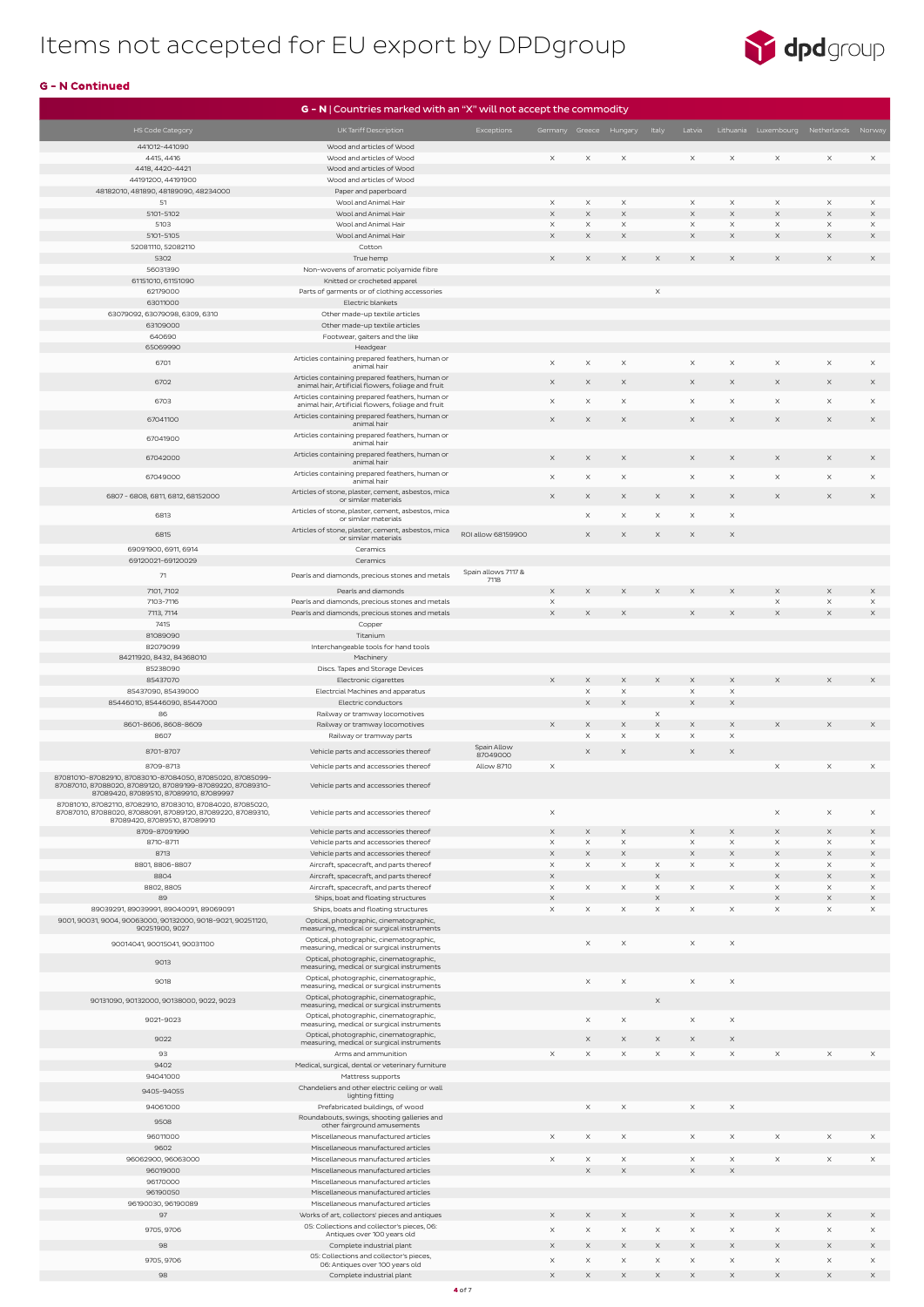

|                                                                                                      | G - N   Countries marked with an "X" will not accept the commodity                                    |                     |                        |                       |                         |                                   |                                   |                       |                                         |                         |                      |
|------------------------------------------------------------------------------------------------------|-------------------------------------------------------------------------------------------------------|---------------------|------------------------|-----------------------|-------------------------|-----------------------------------|-----------------------------------|-----------------------|-----------------------------------------|-------------------------|----------------------|
| HS Code Category                                                                                     | UK Tariff Description                                                                                 | Exceptions          | Germany Greece Hungary |                       |                         | Italy                             | Latvia                            |                       | Lithuania Luxembourg Netherlands Norway |                         |                      |
| 441012-441090                                                                                        | Wood and articles of Wood                                                                             |                     |                        |                       |                         |                                   |                                   |                       |                                         |                         |                      |
| 4415, 4416                                                                                           | Wood and articles of Wood                                                                             |                     | $\times$               | $\times$              | $\times$                |                                   | $\times$                          | $\times$              | $\times$                                | $\times$                | $\times$             |
| 4418, 4420-4421                                                                                      | Wood and articles of Wood                                                                             |                     |                        |                       |                         |                                   |                                   |                       |                                         |                         |                      |
| 44191200, 44191900                                                                                   | Wood and articles of Wood                                                                             |                     |                        |                       |                         |                                   |                                   |                       |                                         |                         |                      |
| 48182010, 481890, 48189090, 48234000                                                                 | Paper and paperboard                                                                                  |                     |                        |                       |                         |                                   |                                   |                       |                                         |                         |                      |
| 51<br>5101-5102                                                                                      | Wool and Animal Hair<br>Wool and Animal Hair                                                          |                     | $\times$<br>$\times$   | $\times$<br>$\times$  | $\times$<br>$\mathsf X$ |                                   | $\times$<br>$\boldsymbol{\times}$ | $\times$<br>$\times$  | $\times$<br>$\times$                    | $\times$<br>$\mathsf X$ | $\times$<br>$\times$ |
| 5103                                                                                                 | Wool and Animal Hair                                                                                  |                     | $\times$               | $\times$              | $\times$                |                                   | $\times$                          | $\times$              | $\times$                                | $\times$                | $\times$             |
| 5101-5105                                                                                            | Wool and Animal Hair                                                                                  |                     | $\times$               | $\times$              | X                       |                                   | $\times$                          | X                     | $\times$                                | $\times$                | $\times$             |
| 52081110, 52082110                                                                                   | Cotton                                                                                                |                     |                        |                       |                         |                                   |                                   |                       |                                         |                         |                      |
| 5302                                                                                                 | True hemp                                                                                             |                     | $\times$               | $\times$              | $\times$                | $\times$                          | $\times$                          | X                     | $\times$                                | $\times$                | $\times$             |
| 56031390<br>61151010, 61151090                                                                       | Non-wovens of aromatic polyamide fibre                                                                |                     |                        |                       |                         |                                   |                                   |                       |                                         |                         |                      |
| 62179000                                                                                             | Knitted or crocheted apparel<br>Parts of garments or of clothing accessories                          |                     |                        |                       |                         | $\times$                          |                                   |                       |                                         |                         |                      |
| 63011000                                                                                             | Electric blankets                                                                                     |                     |                        |                       |                         |                                   |                                   |                       |                                         |                         |                      |
| 63079092, 63079098, 6309, 6310                                                                       | Other made-up textile articles                                                                        |                     |                        |                       |                         |                                   |                                   |                       |                                         |                         |                      |
| 63109000                                                                                             | Other made-up textile articles                                                                        |                     |                        |                       |                         |                                   |                                   |                       |                                         |                         |                      |
| 640690<br>65069990                                                                                   | Footwear, gaiters and the like                                                                        |                     |                        |                       |                         |                                   |                                   |                       |                                         |                         |                      |
|                                                                                                      | Headgear<br>Articles containing prepared feathers, human or                                           |                     |                        |                       |                         |                                   |                                   |                       |                                         |                         |                      |
| 6701                                                                                                 | animal hair                                                                                           |                     | $\times$               | $\times$              | $\times$                |                                   | $\times$                          | $\times$              | $\times$                                | $\times$                | $\times$             |
| 6702                                                                                                 | Articles containing prepared feathers, human or<br>animal hair, Artificial flowers, foliage and fruit |                     | X                      | $\times$              | $\times$                |                                   | $\times$                          | $\times$              | $\times$                                | $\times$                | $\times$             |
| 6703                                                                                                 | Articles containing prepared feathers, human or                                                       |                     | X                      | $\times$              | $\times$                |                                   | $\times$                          | X                     | $\times$                                | $\times$                | $\times$             |
|                                                                                                      | animal hair, Artificial flowers, foliage and fruit                                                    |                     |                        |                       |                         |                                   |                                   |                       |                                         |                         |                      |
| 67041100                                                                                             | Articles containing prepared feathers, human or<br>animal hair                                        |                     | $\times$               | $\times$              | $\times$                |                                   | $\times$                          | $\times$              | $\times$                                | $\times$                | $\times$             |
| 67041900                                                                                             | Articles containing prepared feathers, human or                                                       |                     |                        |                       |                         |                                   |                                   |                       |                                         |                         |                      |
|                                                                                                      | animal hair<br>Articles containing prepared feathers, human or                                        |                     |                        |                       |                         |                                   |                                   |                       |                                         |                         |                      |
| 67042000                                                                                             | animal hair                                                                                           |                     | X                      | $\times$              | $\times$                |                                   | $\times$                          | $\times$              | $\times$                                | $\times$                | $\times$             |
| 67049000                                                                                             | Articles containing prepared feathers, human or<br>animal hair                                        |                     | $\times$               | $\mathsf X$           | $\mathsf X$             |                                   | $\times$                          | $\times$              | $\times$                                | $\times$                | $\times$             |
|                                                                                                      | Articles of stone, plaster, cement, asbestos, mica                                                    |                     |                        |                       |                         |                                   |                                   |                       |                                         |                         |                      |
| 6807 - 6808, 6811, 6812, 68152000                                                                    | or similar materials                                                                                  |                     | $\times$               | $\times$              | $\times$                | $\times$                          | $\times$                          | $\times$              | $\times$                                | $\times$                | $\times$             |
| 6813                                                                                                 | Articles of stone, plaster, cement, asbestos, mica<br>or similar materials                            |                     |                        | $\times$              | $\times$                | $\times$                          | $\times$                          | $\times$              |                                         |                         |                      |
| 6815                                                                                                 | Articles of stone, plaster, cement, asbestos, mica                                                    | ROI allow 68159900  |                        | $\times$              | X                       | $\times$                          | $\times$                          | $\times$              |                                         |                         |                      |
| 69091900, 6911, 6914                                                                                 | or similar materials                                                                                  |                     |                        |                       |                         |                                   |                                   |                       |                                         |                         |                      |
| 69120021-69120029                                                                                    | Ceramics<br>Ceramics                                                                                  |                     |                        |                       |                         |                                   |                                   |                       |                                         |                         |                      |
| 71                                                                                                   | Pearls and diamonds, precious stones and metals                                                       | Spain allows 7117 & |                        |                       |                         |                                   |                                   |                       |                                         |                         |                      |
|                                                                                                      |                                                                                                       | 7118                |                        |                       |                         |                                   |                                   |                       |                                         |                         |                      |
| 7101, 7102<br>7103-7116                                                                              | Pearls and diamonds<br>Pearls and diamonds, precious stones and metals                                |                     | $\times$<br>X          | $\times$              | $\times$                | $\times$                          | $\times$                          | $\times$              | $\times$<br>X                           | $\times$<br>X           | $\times$<br>$\times$ |
| 7113, 7114                                                                                           | Pearls and diamonds, precious stones and metals                                                       |                     | $\mathsf X$            | $\times$              | $\mathsf X$             |                                   | X                                 | X                     | $\times$                                | $\times$                | $\times$             |
| 7415                                                                                                 | Copper                                                                                                |                     |                        |                       |                         |                                   |                                   |                       |                                         |                         |                      |
| 81089090                                                                                             | Titanium                                                                                              |                     |                        |                       |                         |                                   |                                   |                       |                                         |                         |                      |
| 82079099                                                                                             | Interchangeable tools for hand tools                                                                  |                     |                        |                       |                         |                                   |                                   |                       |                                         |                         |                      |
| 84211920, 8432, 84368010<br>85238090                                                                 | Machinery<br>Discs. Tapes and Storage Devices                                                         |                     |                        |                       |                         |                                   |                                   |                       |                                         |                         |                      |
| 85437070                                                                                             | Electronic cigarettes                                                                                 |                     | $\times$               | $\times$              | $\times$                | $\times$                          | $\times$                          | $\times$              | $\times$                                | $\times$                | $\times$             |
| 85437090, 85439000                                                                                   | Electrcial Machines and apparatus                                                                     |                     |                        | $\boldsymbol{\times}$ | $\times$                |                                   | $\times$                          | $\times$              |                                         |                         |                      |
| 85446010, 85446090, 85447000                                                                         | Electric conductors                                                                                   |                     |                        | $\boldsymbol{\times}$ | X                       |                                   | $\mathsf X$                       | $\mathsf X$           |                                         |                         |                      |
| 86<br>8601-8606, 8608-8609                                                                           | Railway or tramway locomotives<br>Railway or tramway locomotives                                      |                     | $\times$               | $\times$              | X                       | $\times$<br>$\mathsf X$           | X                                 | X                     |                                         | $\times$                | $\times$             |
| 8607                                                                                                 | Railway or tramway parts                                                                              |                     |                        | $\times$              | X                       | $\boldsymbol{\times}$             | $\times$                          | $\boldsymbol{\times}$ |                                         |                         |                      |
| 8701-8707                                                                                            | Vehicle parts and accessories thereof                                                                 | Spain Allow         |                        | $\times$              | X                       |                                   | $\times$                          | $\times$              |                                         |                         |                      |
|                                                                                                      |                                                                                                       | 87049000            |                        |                       |                         |                                   |                                   |                       |                                         |                         |                      |
| 8709-8713<br>87081010-87082910, 87083010-87084050, 87085020, 87085099-                               | Vehicle parts and accessories thereof                                                                 | <b>Allow 8710</b>   | $\times$               |                       |                         |                                   |                                   |                       | $\times$                                | $\times$                | $\times$             |
| 87087010, 87088020, 87089120, 87089199-87089220, 87089310-<br>87089420, 87089510, 87089910, 87089997 | Vehicle parts and accessories thereof                                                                 |                     |                        |                       |                         |                                   |                                   |                       |                                         |                         |                      |
| 87081010, 87082110, 87082910, 87083010, 87084020, 87085020,                                          |                                                                                                       |                     |                        |                       |                         |                                   |                                   |                       |                                         |                         |                      |
| 87087010, 87088020, 87088091, 87089120, 87089220, 87089310,<br>87089420, 87089510, 87089910          | Vehicle parts and accessories thereof                                                                 |                     | $\times$               |                       |                         |                                   |                                   |                       | $\times$                                | $\times$                | $\times$             |
| 8709-87091990                                                                                        | Vehicle parts and accessories thereof                                                                 |                     | $\times$               | $\times$              | $\times$                |                                   | $\times$                          | $\times$              | $\times$                                | $\times$                | $\times$             |
| 8710-8711                                                                                            | Vehicle parts and accessories thereof                                                                 |                     | X                      | $\mathsf X$           | $\times$                |                                   | $\times$                          | $\times$              | $\times$                                | $\times$                | $\times$             |
| 8713                                                                                                 | Vehicle parts and accessories thereof                                                                 |                     | $\times$               | $\times$              | $\mathsf X$             |                                   | $\mathsf X$                       | $\times$              | $\times$                                | $\times$                | $\times$             |
| 8801, 8806-8807<br>8804                                                                              | Aircraft, spacecraft, and parts thereof                                                               |                     | $\times$<br>$\times$   | $\times$              | $\times$                | $\times$<br>$\boldsymbol{\times}$ | $\times$                          | $\times$              | $\times$<br>$\times$                    | $\times$<br>$\times$    | $\times$<br>X        |
| 8802, 8805                                                                                           | Aircraft, spacecraft, and parts thereof<br>Aircraft, spacecraft, and parts thereof                    |                     | $\times$               | $\times$              | $\times$                | $\times$                          | $\times$                          | $\times$              | $\times$                                | $\times$                | $\times$             |
| 89                                                                                                   | Ships, boat and floating structures                                                                   |                     | $\mathsf X$            |                       |                         | $\boldsymbol{\times}$             |                                   |                       | $\times$                                | $\boldsymbol{\times}$   | $\times$             |
| 89039291, 89039991, 89040091, 89069091                                                               | Ships, boats and floating structures                                                                  |                     | $\times$               | $\times$              | $\times$                | $\times$                          | $\times$                          | $\times$              | $\times$                                | $\times$                | $\times$             |
| 9001, 90031, 9004, 90063000, 90132000, 9018-9021, 90251120,<br>90251900, 9027                        | Optical, photographic, cinematographic,<br>measuring, medical or surgical instruments                 |                     |                        |                       |                         |                                   |                                   |                       |                                         |                         |                      |
| 90014041, 90015041, 90031100                                                                         | Optical, photographic, cinematographic,                                                               |                     |                        | $\times$              | $\mathsf X$             |                                   | $\mathsf X$                       | $\mathsf X$           |                                         |                         |                      |
|                                                                                                      | measuring, medical or surgical instruments                                                            |                     |                        |                       |                         |                                   |                                   |                       |                                         |                         |                      |
| 9013                                                                                                 | Optical, photographic, cinematographic,<br>measuring, medical or surgical instruments                 |                     |                        |                       |                         |                                   |                                   |                       |                                         |                         |                      |
| 9018                                                                                                 | Optical, photographic, cinematographic,                                                               |                     |                        | $\mathsf X$           | $\times$                |                                   | $\boldsymbol{\mathsf{X}}$         | X                     |                                         |                         |                      |
|                                                                                                      | measuring, medical or surgical instruments<br>Optical, photographic, cinematographic,                 |                     |                        |                       |                         |                                   |                                   |                       |                                         |                         |                      |
| 90131090, 90132000, 90138000, 9022, 9023                                                             | measuring, medical or surgical instruments                                                            |                     |                        |                       |                         | $\times$                          |                                   |                       |                                         |                         |                      |
| 9021-9023                                                                                            | Optical, photographic, cinematographic,<br>measuring, medical or surgical instruments                 |                     |                        | $\times$              | X                       |                                   | $\times$                          | X                     |                                         |                         |                      |
| 9022                                                                                                 | Optical, photographic, cinematographic,                                                               |                     |                        | $\times$              | $\times$                | $\times$                          | $\times$                          | $\times$              |                                         |                         |                      |
| 93                                                                                                   | measuring, medical or surgical instruments<br>Arms and ammunition                                     |                     | $\times$               | $\times$              | $\times$                | $\times$                          | $\times$                          | $\times$              | $\times$                                | $\times$                | $\times$             |
| 9402                                                                                                 | Medical, surgical, dental or veterinary furniture                                                     |                     |                        |                       |                         |                                   |                                   |                       |                                         |                         |                      |
| 94041000                                                                                             | Mattress supports                                                                                     |                     |                        |                       |                         |                                   |                                   |                       |                                         |                         |                      |
| 9405-94055                                                                                           | Chandeliers and other electric ceiling or wall                                                        |                     |                        |                       |                         |                                   |                                   |                       |                                         |                         |                      |
| 94061000                                                                                             | lighting fitting<br>Prefabricated buildings, of wood                                                  |                     |                        | $\times$              | $\times$                |                                   | $\times$                          | $\times$              |                                         |                         |                      |
| 9508                                                                                                 | Roundabouts, swings, shooting galleries and                                                           |                     |                        |                       |                         |                                   |                                   |                       |                                         |                         |                      |
| 96011000                                                                                             | other fairground amusements<br>Miscellaneous manufactured articles                                    |                     | $\times$               | $\times$              | $\times$                |                                   | $\times$                          | $\times$              | $\times$                                | $\times$                | $\times$             |
| 9602                                                                                                 | Miscellaneous manufactured articles                                                                   |                     |                        |                       |                         |                                   |                                   |                       |                                         |                         |                      |
| 96062900, 96063000                                                                                   | Miscellaneous manufactured articles                                                                   |                     | X                      | X                     | $\times$                |                                   | X                                 | $\times$              | $\times$                                | $\times$                | $\times$             |
| 96019000                                                                                             | Miscellaneous manufactured articles                                                                   |                     |                        | $\times$              | $\mathsf X$             |                                   | $\mathsf X$                       | $\times$              |                                         |                         |                      |
| 96170000                                                                                             | Miscellaneous manufactured articles<br>Miscellaneous manufactured articles                            |                     |                        |                       |                         |                                   |                                   |                       |                                         |                         |                      |
| 96190050<br>96190030, 96190089                                                                       | Miscellaneous manufactured articles                                                                   |                     |                        |                       |                         |                                   |                                   |                       |                                         |                         |                      |
| 97                                                                                                   | Works of art, collectors' pieces and antiques                                                         |                     | X                      | $\times$              | $\times$                |                                   | $\times$                          | $\times$              | $\times$                                | $\times$                | $\times$             |
| 9705, 9706                                                                                           | 05: Collections and collector's pieces, 06:                                                           |                     | $\times$               | $\mathsf X$           | X                       | X                                 | X                                 | $\times$              | $\times$                                | $\mathsf X$             | $\times$             |
| 98                                                                                                   | Antiques over 100 years old<br>Complete industrial plant                                              |                     | $\times$               | $\times$              | $\times$                | $\times$                          | $\times$                          | $\times$              | $\times$                                | $\times$                | $\times$             |
| 9705, 9706                                                                                           | 05: Collections and collector's pieces,                                                               |                     | X                      | X                     | $\times$                | $\times$                          | $\times$                          | $\times$              | $\times$                                | $\times$                | $\times$             |
| 98                                                                                                   | 06: Antiques over 100 years old<br>Complete industrial plant                                          |                     | $\times$               | $\times$              | $\times$                | $\times$                          | $\times$                          | $\times$              | $\times$                                | $\times$                | $\times$             |
|                                                                                                      |                                                                                                       |                     |                        |                       |                         |                                   |                                   |                       |                                         |                         |                      |

#### G - N Continued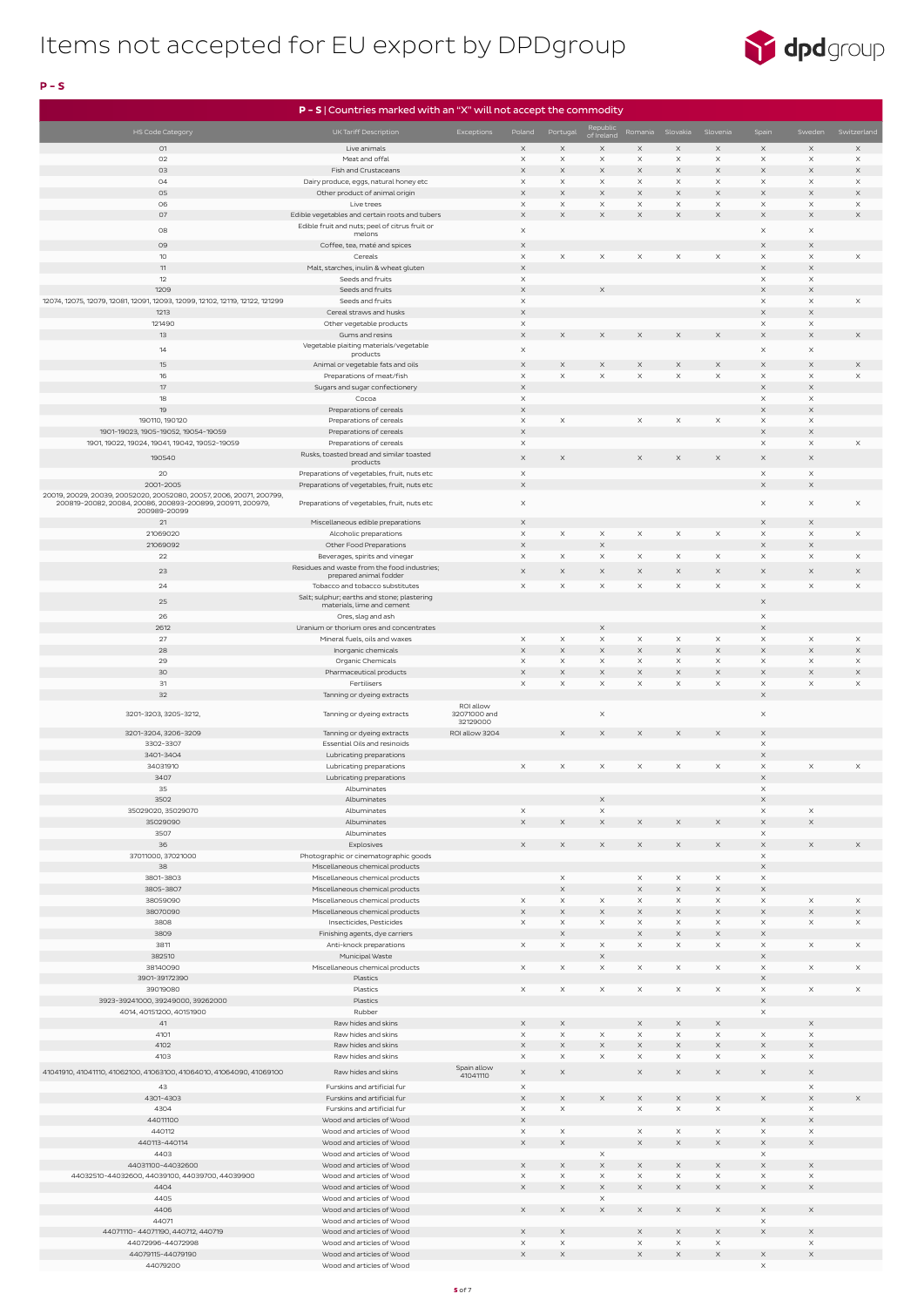

| P - S   Countries marked with an "X" will not accept the commodity                |                                                                                |                          |                                   |                                      |                            |                       |                      |                                       |                                   |                                   |                         |
|-----------------------------------------------------------------------------------|--------------------------------------------------------------------------------|--------------------------|-----------------------------------|--------------------------------------|----------------------------|-----------------------|----------------------|---------------------------------------|-----------------------------------|-----------------------------------|-------------------------|
| HS Code Category                                                                  | UK Tariff Description                                                          | <b>Exceptions</b>        | Poland                            | Portugal                             | Republic<br>of Ireland     | Romania               | Slovakia             | Slovenia                              | Spain                             | Sweden                            | Switzerland             |
| 01                                                                                | Live animals                                                                   |                          | $\times$                          | $\mathsf X$                          | $\times$                   | $\times$              | $\times$             | $\times$                              | $\times$                          | $\times$                          | X                       |
| O2                                                                                | Meat and offal                                                                 |                          | $\times$                          | $\mathsf X$                          | $\mathsf X$                | $\mathsf X$           | $\times$             | $\boldsymbol{\times}$                 | $\times$                          | $\times$                          | X                       |
| O <sub>3</sub>                                                                    | Fish and Crustaceans                                                           |                          | $\times$                          | $\mathsf X$                          | $\times$                   | $\times$              | $\times$             | $\times$                              | $\times$                          | $\times$                          | $\times$                |
| 04<br>05                                                                          | Dairy produce, eggs, natural honey etc<br>Other product of animal origin       |                          | $\times$<br>$\times$              | X<br>$\times$                        | X<br>$\times$              | $\times$<br>$\times$  | $\times$<br>$\times$ | $\times$<br>$\times$                  | $\times$<br>$\times$              | $\times$<br>$\times$              | X<br>X                  |
| 06                                                                                | Live trees                                                                     |                          | $\times$                          | $\mathsf X$                          | $\mathsf X$                | $\mathsf X$           | $\times$             | $\times$                              | $\times$                          | $\times$                          | $\mathsf X$             |
| <b>O7</b>                                                                         | Edible vegetables and certain roots and tubers                                 |                          | $\mathsf X$                       | $\mathsf X$                          | $\mathsf X$                | $\times$              | $\times$             | $\boldsymbol{\times}$                 | $\mathsf X$                       | $\boldsymbol{\times}$             | $\mathsf X$             |
| 08                                                                                | Edible fruit and nuts; peel of citrus fruit or<br>melons                       |                          | $\times$                          |                                      |                            |                       |                      |                                       | $\times$                          | $\times$                          |                         |
| 09                                                                                | Coffee, tea, maté and spices                                                   |                          | $\times$                          |                                      |                            |                       |                      |                                       | $\times$                          | $\times$                          |                         |
| 10                                                                                | Cereals                                                                        |                          | $\times$                          | $\mathsf X$                          | $\times$                   | $\times$              | $\times$             | $\boldsymbol{\times}$                 | $\times$                          | $\times$                          | $\mathsf X$             |
| 11<br>12                                                                          | Malt, starches, inulin & wheat gluten<br>Seeds and fruits                      |                          | $\times$<br>$\times$              |                                      |                            |                       |                      |                                       | $\boldsymbol{\times}$<br>$\times$ | $\boldsymbol{\times}$<br>$\times$ |                         |
| 1209                                                                              | Seeds and fruits                                                               |                          | $\mathsf X$                       |                                      | $\times$                   |                       |                      |                                       | $\times$                          | $\mathsf X$                       |                         |
| 12074, 12075, 12079, 12081, 12091, 12093, 12099, 12102, 12119, 12122, 121299      | Seeds and fruits                                                               |                          | $\times$                          |                                      |                            |                       |                      |                                       | $\times$                          | $\times$                          | $\mathsf X$             |
| 1213<br>121490                                                                    | Cereal straws and husks                                                        |                          | $\boldsymbol{\times}$<br>$\times$ |                                      |                            |                       |                      |                                       | $\boldsymbol{\times}$<br>$\times$ | $\boldsymbol{\times}$<br>$\times$ |                         |
| 13                                                                                | Other vegetable products<br>Gums and resins                                    |                          | $\times$                          | $\mathsf X$                          | $\mathsf X$                | X                     | X                    | X                                     | $\times$                          | $\boldsymbol{\times}$             | X                       |
| 14                                                                                | Vegetable plaiting materials/vegetable                                         |                          | $\times$                          |                                      |                            |                       |                      |                                       | $\times$                          | $\times$                          |                         |
| 15                                                                                | products<br>Animal or vegetable fats and oils                                  |                          | X                                 | $\times$                             | X                          | X                     |                      | $\times$                              | $\times$                          | $\boldsymbol{\times}$             | $\times$                |
| 16                                                                                | Preparations of meat/fish                                                      |                          | $\times$                          | $\mathsf X$                          | $\mathsf X$                | $\times$              | $\times$             | X                                     | $\times$                          | $\times$                          | $\mathsf X$             |
| 17                                                                                | Sugars and sugar confectionery                                                 |                          | $\times$                          |                                      |                            |                       |                      |                                       | $\times$                          | $\times$                          |                         |
| 18<br>19                                                                          | Cocoa<br>Preparations of cereals                                               |                          | $\times$<br>$\boldsymbol{\times}$ |                                      |                            |                       |                      |                                       | $\times$<br>$\mathsf X$           | $\times$<br>$\boldsymbol{\times}$ |                         |
| 190110, 190120                                                                    | Preparations of cereals                                                        |                          | $\boldsymbol{\times}$             | X                                    |                            | $\times$              | $\times$             | $\times$                              | $\times$                          | $\times$                          |                         |
| 1901-19023, 1905-19052, 19054-19059                                               | Preparations of cereals                                                        |                          | $\mathsf X$                       |                                      |                            |                       |                      |                                       | X                                 | $\mathsf X$                       |                         |
| 1901, 19022, 19024, 19041, 19042, 19052-19059                                     | Preparations of cereals                                                        |                          | $\times$                          |                                      |                            |                       |                      |                                       | $\times$                          | $\times$                          | $\mathsf X$             |
| 190540                                                                            | Rusks, toasted bread and similar toasted<br>products                           |                          | $\times$                          | $\mathsf X$                          |                            | $\times$              | $\times$             | $\times$                              | $\times$                          | $\times$                          |                         |
| 20                                                                                | Preparations of vegetables, fruit, nuts etc                                    |                          | $\times$                          |                                      |                            |                       |                      |                                       | $\times$                          | $\times$                          |                         |
| 2001-2005<br>20019, 20029, 20039, 20052020, 20052080, 20057, 2006, 20071, 200799, | Preparations of vegetables, fruit, nuts etc                                    |                          | $\mathsf X$                       |                                      |                            |                       |                      |                                       | $\mathsf X$                       | $\boldsymbol{\times}$             |                         |
| 200819-20082, 20084, 20086, 200893-200899, 200911, 200979,                        | Preparations of vegetables, fruit, nuts etc                                    |                          | $\times$                          |                                      |                            |                       |                      |                                       | $\times$                          | $\times$                          | $\mathsf X$             |
| 200989-20099<br>21                                                                | Miscellaneous edible preparations                                              |                          | $\times$                          |                                      |                            |                       |                      |                                       | $\times$                          | $\times$                          |                         |
| 21069020                                                                          | Alcoholic preparations                                                         |                          | $\times$                          | $\boldsymbol{\times}$                | X                          | X                     | $\times$             | $\boldsymbol{\times}$                 | $\times$                          | $\times$                          | $\mathsf X$             |
| 21069092                                                                          | Other Food Preparations                                                        |                          | $\boldsymbol{\times}$             |                                      | $\mathsf X$                |                       |                      |                                       | $\boldsymbol{\times}$             | $\times$                          |                         |
| 22                                                                                | Beverages, spirits and vinegar<br>Residues and waste from the food industries; |                          | $\times$                          | $\times$                             | $\times$                   | $\times$              | $\times$             | $\times$                              | $\times$                          | $\times$                          | $\times$                |
| 23                                                                                | prepared animal fodder                                                         |                          | $\times$                          | $\times$                             | $\times$                   | $\times$              | $\times$             | $\times$                              | $\times$                          | $\times$                          | $\times$                |
| 24                                                                                | Tobacco and tobacco substitutes                                                |                          | $\times$                          | X                                    | $\times$                   | $\times$              | $\times$             | $\times$                              | $\times$                          | $\times$                          | $\mathsf X$             |
| 25                                                                                | Salt; sulphur; earths and stone; plastering<br>materials, lime and cement      |                          |                                   |                                      |                            |                       |                      |                                       | $\times$                          |                                   |                         |
| 26                                                                                | Ores, slag and ash                                                             |                          |                                   |                                      |                            |                       |                      |                                       | $\times$                          |                                   |                         |
| 2612<br>27                                                                        | Uranium or thorium ores and concentrates<br>Mineral fuels, oils and waxes      |                          | $\boldsymbol{\times}$             | $\mathsf X$                          | $\times$<br>$\times$       | $\times$              | $\times$             | $\boldsymbol{\times}$                 | $\times$<br>$\times$              | $\times$                          | $\times$                |
| 28                                                                                | Inorganic chemicals                                                            |                          | $\times$                          | $\mathsf X$                          | $\mathsf X$                | $\boldsymbol{\times}$ | $\times$             | $\boldsymbol{\times}$                 | $\times$                          | $\times$                          | $\mathsf X$             |
| 29                                                                                | Organic Chemicals                                                              |                          | $\times$                          | X                                    | $\times$                   | X                     | $\times$             | $\boldsymbol{\times}$                 | $\times$                          | $\times$                          | $\times$                |
| 30                                                                                | Pharmaceutical products                                                        |                          | $\mathsf X$                       | $\mathsf X$                          | $\mathsf X$                | $\mathsf X$           | $\mathsf X$          | $\mathsf X$                           | $\times$                          | $\mathsf X$                       | $\mathsf X$             |
| 31<br>32                                                                          | Fertilisers<br>Tanning or dyeing extracts                                      |                          | $\times$                          | $\mathsf X$                          | $\times$                   | $\times$              | $\times$             | $\boldsymbol{\times}$                 | $\times$<br>$\boldsymbol{\times}$ | $\times$                          | $\mathsf X$             |
|                                                                                   |                                                                                | ROI allow                |                                   |                                      |                            |                       |                      |                                       |                                   |                                   |                         |
| 3201-3203, 3205-3212,                                                             | Tanning or dyeing extracts                                                     | 32071000 and<br>32129000 |                                   |                                      | X                          |                       |                      |                                       | $\times$                          |                                   |                         |
| 3201-3204, 3206-3209                                                              | Tanning or dyeing extracts                                                     | ROI allow 3204           |                                   | $\mathsf X$                          | $\times$                   | $\times$              | $\times$             | $\times$                              | $\times$                          |                                   |                         |
| 3302-3307<br>3401-3404                                                            | Essential Oils and resinoids                                                   |                          |                                   |                                      |                            |                       |                      |                                       | $\times$<br>$\mathsf X$           |                                   |                         |
| 34031910                                                                          | Lubricating preparations<br>Lubricating preparations                           |                          | $\times$                          | $\times$                             | $\times$                   | $\times$              | $\times$             | $\times$                              | $\times$                          | $\times$                          | $\times$                |
| 3407                                                                              | Lubricating preparations                                                       |                          |                                   |                                      |                            |                       |                      |                                       | $\mathsf X$                       |                                   |                         |
| 35                                                                                | Albuminates                                                                    |                          |                                   |                                      |                            |                       |                      |                                       | $\times$                          |                                   |                         |
| 3502<br>35029020, 35029070                                                        | Albuminates<br>Albuminates                                                     |                          | $\boldsymbol{\times}$             |                                      | $\mathsf X$<br>$\mathsf X$ |                       |                      |                                       | $\times$<br>$\times$              | $\times$                          |                         |
| 35029090                                                                          | Albuminates                                                                    |                          | $\times$                          | $\mathsf X$                          | $\mathsf X$                | $\times$              | $\times$             | $\times$                              | $\times$                          | $\boldsymbol{\times}$             |                         |
| 3507                                                                              | Albuminates                                                                    |                          |                                   |                                      |                            |                       |                      |                                       | $\times$                          |                                   |                         |
| 36<br>37011000, 37021000                                                          | Explosives<br>Photographic or cinematographic goods                            |                          | $\times$                          | $\times$                             | $\mathsf X$                | $\times$              | $\times$             | $\boldsymbol{\times}$                 | $\times$<br>$\times$              | $\times$                          | X                       |
| 38                                                                                | Miscellaneous chemical products                                                |                          |                                   |                                      |                            |                       |                      |                                       | $\mathsf X$                       |                                   |                         |
| 3801-3803                                                                         | Miscellaneous chemical products                                                |                          |                                   | $\times$                             |                            | $\times$              | $\times$             | $\boldsymbol{\times}$                 | $\times$                          |                                   |                         |
| 3805-3807                                                                         | Miscellaneous chemical products                                                |                          |                                   | $\mathsf X$                          |                            | $\mathsf X$           | $\times$             | $\times$                              | $\times$                          |                                   |                         |
| 38059090<br>38070090                                                              | Miscellaneous chemical products<br>Miscellaneous chemical products             |                          | $\times$<br>$\boldsymbol{\times}$ | $\boldsymbol{\times}$<br>$\mathsf X$ | $\mathsf X$<br>$\mathsf X$ | X<br>X                | $\times$<br>$\times$ | $\times$<br>$\boldsymbol{\times}$     | $\times$<br>$\boldsymbol{\times}$ | $\times$<br>$\boldsymbol{\times}$ | $\times$<br>$\mathsf X$ |
| 3808                                                                              | Insecticides, Pesticides                                                       |                          | $\times$                          | $\mathsf X$                          | $\mathsf X$                | $\times$              | $\times$             | $\times$                              | $\times$                          | $\times$                          | $\times$                |
| 3809                                                                              | Finishing agents, dye carriers                                                 |                          |                                   | $\mathsf X$                          |                            | $\boldsymbol{\times}$ | $\times$             | $\times$                              | $\times$                          |                                   |                         |
| 3811<br>382510                                                                    | Anti-knock preparations<br>Municipal Waste                                     |                          | $\times$                          | $\boldsymbol{\times}$                | $\mathsf X$<br>$\mathsf X$ | $\boldsymbol{\times}$ | $\times$             | $\times$                              | $\times$<br>$\mathsf X$           | $\times$                          | $\times$                |
| 38140090                                                                          | Miscellaneous chemical products                                                |                          | $\times$                          | $\mathsf X$                          | $\times$                   | $\times$              | $\times$             | $\times$                              | $\times$                          | $\times$                          | $\times$                |
| 3901-39172390                                                                     | Plastics                                                                       |                          |                                   |                                      |                            |                       |                      |                                       | $\mathsf X$                       |                                   |                         |
| 39019080<br>3923-39241000, 39249000, 39262000                                     | Plastics<br>Plastics                                                           |                          | $\boldsymbol{\times}$             | $\mathsf X$                          | X                          | $\times$              | $\times$             | $\times$                              | $\times$<br>$\times$              | $\times$                          | $\times$                |
| 4014, 40151200, 40151900                                                          | Rubber                                                                         |                          |                                   |                                      |                            |                       |                      |                                       | $\times$                          |                                   |                         |
| 41                                                                                | Raw hides and skins                                                            |                          | $\times$                          | $\mathsf X$                          |                            | $\times$              | $\times$             | $\times$                              |                                   | $\times$                          |                         |
| 4101                                                                              | Raw hides and skins                                                            |                          | $\boldsymbol{\times}$             | $\mathsf X$                          | X                          | $\boldsymbol{\times}$ | $\times$             | $\boldsymbol{\times}$                 | $\times$                          | $\times$                          |                         |
| 4102<br>4103                                                                      | Raw hides and skins<br>Raw hides and skins                                     |                          | $\times$<br>$\times$              | $\mathsf X$<br>$\mathsf X$           | $\mathsf X$<br>X           | X<br>X                | $\times$<br>$\times$ | $\boldsymbol{\times}$<br>$\times$     | $\times$<br>$\times$              | $\times$<br>$\times$              |                         |
| 41041910, 41041110, 41062100, 41063100, 41064010, 41064090, 41069100              | Raw hides and skins                                                            | Spain allow              | $\times$                          | $\times$                             |                            | $\times$              | $\times$             | $\times$                              | $\times$                          | $\times$                          |                         |
|                                                                                   |                                                                                | 41041110                 |                                   |                                      |                            |                       |                      |                                       |                                   |                                   |                         |
| 43<br>4301-4303                                                                   | Furskins and artificial fur<br>Furskins and artificial fur                     |                          | X<br>$\times$                     | $\times$                             | X                          | X                     | $\times$             | $\times$                              | $\times$                          | X<br>$\mathsf X$                  | X                       |
| 4304                                                                              | Furskins and artificial fur                                                    |                          | X                                 | $\mathsf X$                          |                            | X                     | $\times$             | $\times$                              |                                   | $\times$                          |                         |
| 44011100                                                                          | Wood and articles of Wood                                                      |                          | $\mathsf X$                       |                                      |                            |                       |                      |                                       | $\boldsymbol{\times}$             | $\mathsf X$                       |                         |
| 440112<br>440113-440114                                                           | Wood and articles of Wood<br>Wood and articles of Wood                         |                          | X<br>X                            | $\times$<br>$\boldsymbol{\times}$    |                            | X<br>X                | $\times$<br>$\times$ | $\times$<br>$\boldsymbol{\mathsf{X}}$ | $\times$<br>$\mathsf X$           | $\times$<br>$\mathsf X$           |                         |
| 4403                                                                              | Wood and articles of Wood                                                      |                          |                                   |                                      | X                          |                       |                      |                                       | $\times$                          |                                   |                         |
| 44031100-44032600                                                                 | Wood and articles of Wood                                                      |                          | X                                 | $\boldsymbol{\mathsf{X}}$            | $\mathsf X$                | X                     | $\times$             | $\times$                              | $\times$                          | $\times$                          |                         |
| 44032510-44032600, 44039100, 44039700, 44039900<br>4404                           | Wood and articles of Wood                                                      |                          | X                                 | X                                    | X                          | X                     | X                    | $\times$                              | $\times$<br>$\boldsymbol{\times}$ | $\times$                          |                         |
| 4405                                                                              | Wood and articles of Wood<br>Wood and articles of Wood                         |                          | X                                 | $\boldsymbol{\mathsf{X}}$            | X<br>$\mathsf X$           | X                     | X                    | X                                     |                                   | $\boldsymbol{\times}$             |                         |
| 4406                                                                              | Wood and articles of Wood                                                      |                          | X                                 | $\boldsymbol{\times}$                | $\mathsf X$                | X                     | $\times$             | $\mathsf X$                           | $\mathsf X$                       | $\boldsymbol{\times}$             |                         |
| 44071                                                                             | Wood and articles of Wood                                                      |                          |                                   |                                      |                            |                       |                      |                                       | $\times$                          |                                   |                         |
| 44071110-44071190, 440712, 440719<br>44072996-44072998                            | Wood and articles of Wood<br>Wood and articles of Wood                         |                          | X<br>X                            | X<br>$\times$                        |                            | $\times$<br>X         | $\times$<br>$\times$ | $\times$<br>$\times$                  | $\boldsymbol{\mathsf{X}}$         | $\times$<br>$\mathsf X$           |                         |
| 44079115-44079190                                                                 | Wood and articles of Wood                                                      |                          | X                                 | $\boldsymbol{\times}$                |                            | X                     | X                    | X                                     | $\boldsymbol{\mathsf{X}}$         | $\boldsymbol{\times}$             |                         |
| 44079200                                                                          | Wood and articles of Wood                                                      |                          |                                   |                                      |                            |                       |                      |                                       | $\times$                          |                                   |                         |

P - S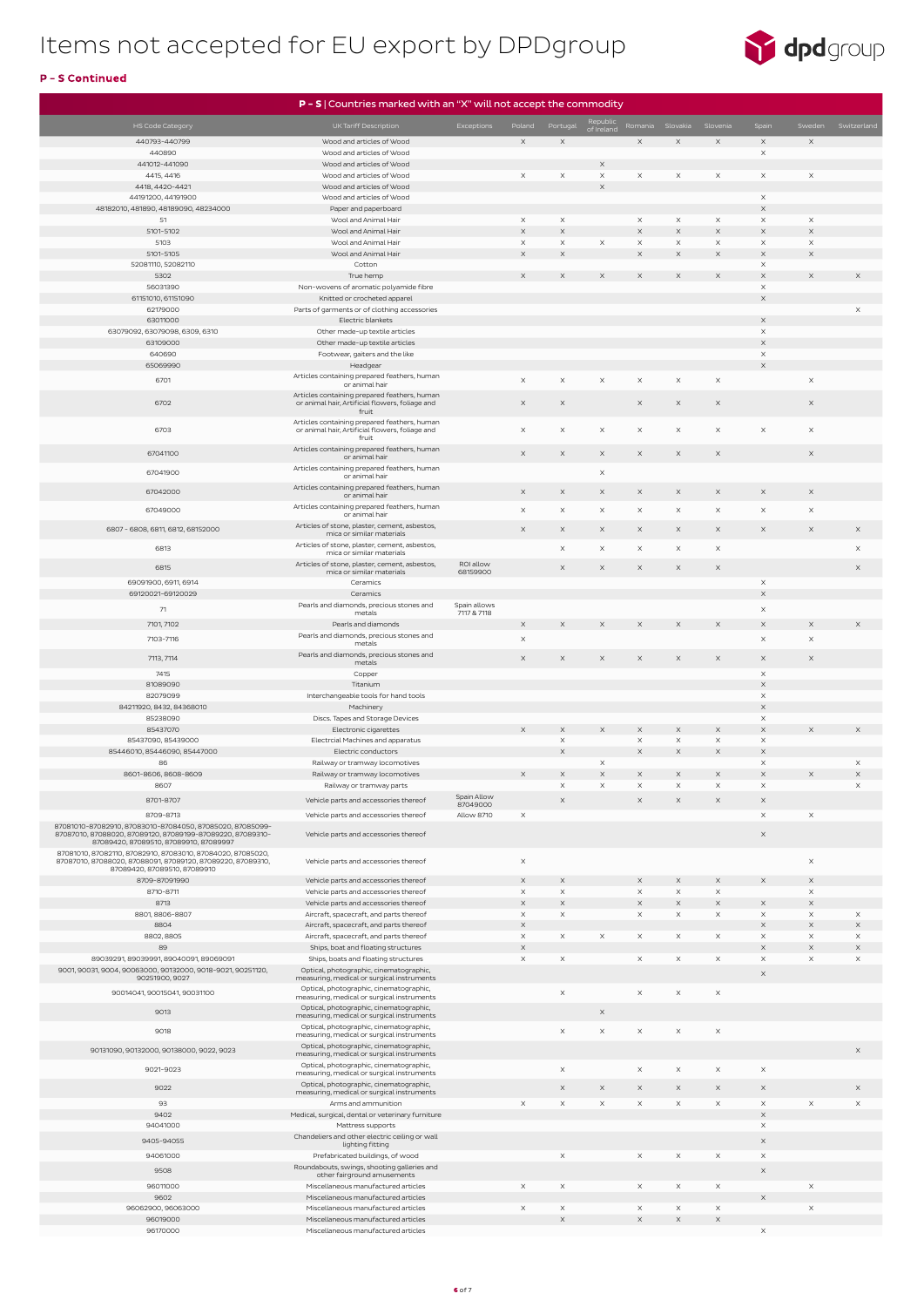

|                                                                                                      | $P - S$   Countries marked with an "X" will not accept the commodity                  |                             |                       |                         |                       |                       |                      |                                   |                         |                                   |                       |
|------------------------------------------------------------------------------------------------------|---------------------------------------------------------------------------------------|-----------------------------|-----------------------|-------------------------|-----------------------|-----------------------|----------------------|-----------------------------------|-------------------------|-----------------------------------|-----------------------|
| HS Code Category                                                                                     | UK Tariff Description                                                                 | Exceptions                  | Poland                | Portugal                | Republic              |                       | Romania Slovakia     | Slovenia                          | Spain                   | Sweden                            | Switzerland           |
| 440793-440799                                                                                        | Wood and articles of Wood                                                             |                             | $\times$              | $\times$                | of Ireland            | $\times$              | $\times$             | $\times$                          | $\times$                | $\times$                          |                       |
| 440890                                                                                               | Wood and articles of Wood                                                             |                             |                       |                         |                       |                       |                      |                                   | $\times$                |                                   |                       |
| 441012-441090                                                                                        | Wood and articles of Wood                                                             |                             |                       |                         | $\mathsf X$           |                       |                      |                                   |                         |                                   |                       |
| 4415, 4416                                                                                           | Wood and articles of Wood                                                             |                             | $\times$              | $\times$                | X                     | $\times$              | $\times$             | $\times$                          | $\times$                | $\times$                          |                       |
| 4418, 4420-4421<br>44191200, 44191900                                                                | Wood and articles of Wood<br>Wood and articles of Wood                                |                             |                       |                         | $\boldsymbol{\times}$ |                       |                      |                                   | $\times$                |                                   |                       |
| 48182010, 481890, 48189090, 48234000                                                                 | Paper and paperboard                                                                  |                             |                       |                         |                       |                       |                      |                                   | $\boldsymbol{\times}$   |                                   |                       |
| 51                                                                                                   | Wool and Animal Hair                                                                  |                             | $\times$              | $\times$                |                       | $\times$              | $\times$             | X                                 | $\times$                | $\times$                          |                       |
| 5101-5102                                                                                            | Wool and Animal Hair                                                                  |                             | $\times$              | $\times$                |                       | $\times$              | $\times$             | $\mathsf X$                       | $\boldsymbol{\times}$   | $\mathsf X$                       |                       |
| 5103                                                                                                 | Wool and Animal Hair                                                                  |                             | $\times$              | $\mathsf X$             | $\mathsf X$           | $\times$              | X                    | $\boldsymbol{\times}$             | $\boldsymbol{\times}$   | $\times$                          |                       |
| 5101-5105<br>52081110, 52082110                                                                      | Wool and Animal Hair<br>Cotton                                                        |                             | $\times$              | $\times$                |                       | $\boldsymbol{\times}$ | $\times$             | $\times$                          | $\mathsf X$<br>$\times$ | $\mathsf X$                       |                       |
| 5302                                                                                                 | True hemp                                                                             |                             | $\times$              | $\times$                | $\times$              | $\times$              | $\times$             | $\mathsf X$                       | $\boldsymbol{\times}$   | $\mathsf X$                       | $\times$              |
| 56031390                                                                                             | Non-wovens of aromatic polyamide fibre                                                |                             |                       |                         |                       |                       |                      |                                   | $\boldsymbol{\times}$   |                                   |                       |
| 61151010, 61151090                                                                                   | Knitted or crocheted apparel                                                          |                             |                       |                         |                       |                       |                      |                                   | $\mathsf X$             |                                   |                       |
| 62179000<br>63011000                                                                                 | Parts of garments or of clothing accessories<br>Electric blankets                     |                             |                       |                         |                       |                       |                      |                                   | $\mathsf X$             |                                   | $\times$              |
| 63079092, 63079098, 6309, 6310                                                                       | Other made-up textile articles                                                        |                             |                       |                         |                       |                       |                      |                                   | $\times$                |                                   |                       |
| 63109000                                                                                             | Other made-up textile articles                                                        |                             |                       |                         |                       |                       |                      |                                   | $\mathsf X$             |                                   |                       |
| 640690                                                                                               | Footwear, gaiters and the like                                                        |                             |                       |                         |                       |                       |                      |                                   | $\times$                |                                   |                       |
| 65069990                                                                                             | Headgear                                                                              |                             |                       |                         |                       |                       |                      |                                   | $\mathsf X$             |                                   |                       |
| 6701                                                                                                 | Articles containing prepared feathers, human<br>or animal hair                        |                             | $\times$              | $\times$                | $\times$              | $\times$              | $\times$             | $\boldsymbol{\mathsf{X}}$         |                         | $\times$                          |                       |
|                                                                                                      | Articles containing prepared feathers, human                                          |                             |                       |                         |                       |                       |                      |                                   |                         |                                   |                       |
| 6702                                                                                                 | or animal hair, Artificial flowers, foliage and<br>fruit                              |                             | $\times$              | $\times$                |                       | $\times$              | $\times$             | $\boldsymbol{\times}$             |                         | $\times$                          |                       |
|                                                                                                      | Articles containing prepared feathers, human                                          |                             |                       |                         |                       |                       |                      |                                   |                         |                                   |                       |
| 6703                                                                                                 | or animal hair, Artificial flowers, foliage and<br>fruit                              |                             | $\times$              | X                       | $\times$              | $\boldsymbol{\times}$ | $\times$             | X                                 | X                       | $\times$                          |                       |
| 67041100                                                                                             | Articles containing prepared feathers, human                                          |                             | $\times$              | $\times$                | $\times$              | $\times$              | $\times$             | $\times$                          |                         | $\times$                          |                       |
|                                                                                                      | or animal hair                                                                        |                             |                       |                         |                       |                       |                      |                                   |                         |                                   |                       |
| 67041900                                                                                             | Articles containing prepared feathers, human<br>or animal hair                        |                             |                       |                         | $\mathsf X$           |                       |                      |                                   |                         |                                   |                       |
| 67042000                                                                                             | Articles containing prepared feathers, human                                          |                             | $\times$              | $\times$                | $\times$              | $\times$              | $\times$             | X                                 | $\times$                | $\times$                          |                       |
|                                                                                                      | or animal hair<br>Articles containing prepared feathers, human                        |                             |                       |                         |                       |                       |                      |                                   |                         |                                   |                       |
| 67049000                                                                                             | or animal hair                                                                        |                             | $\boldsymbol{\times}$ | $\times$                | $\mathsf X$           | $\boldsymbol{\times}$ | X                    | X                                 | $\boldsymbol{\times}$   | $\boldsymbol{\times}$             |                       |
| 6807-6808, 6811, 6812, 68152000                                                                      | Articles of stone, plaster, cement, asbestos,<br>mica or similar materials            |                             | $\times$              | $\mathsf X$             | $\times$              | $\times$              | $\times$             | $\times$                          | $\times$                | $\times$                          | $\mathsf X$           |
|                                                                                                      | Articles of stone, plaster, cement, asbestos,                                         |                             |                       |                         | $\mathsf X$           | $\times$              |                      | $\mathsf X$                       |                         |                                   |                       |
| 6813                                                                                                 | mica or similar materials                                                             |                             |                       | X                       |                       |                       | X                    |                                   |                         |                                   | $\times$              |
| 6815                                                                                                 | Articles of stone, plaster, cement, asbestos,<br>mica or similar materials            | ROI allow<br>68159900       |                       | $\times$                | $\times$              | $\times$              | $\times$             | $\times$                          |                         |                                   | $\times$              |
| 69091900, 6911, 6914                                                                                 | Ceramics                                                                              |                             |                       |                         |                       |                       |                      |                                   | X                       |                                   |                       |
| 69120021-69120029                                                                                    | Ceramics                                                                              |                             |                       |                         |                       |                       |                      |                                   | X                       |                                   |                       |
| 71                                                                                                   | Pearls and diamonds, precious stones and<br>metals                                    | Spain allows<br>7117 & 7118 |                       |                         |                       |                       |                      |                                   | $\times$                |                                   |                       |
| 7101, 7102                                                                                           | Pearls and diamonds                                                                   |                             | $\times$              | $\times$                | $\times$              | $\times$              | $\times$             | $\times$                          | $\boldsymbol{\times}$   | $\times$                          | $\times$              |
| 7103-7116                                                                                            | Pearls and diamonds, precious stones and                                              |                             | $\boldsymbol{\times}$ |                         |                       |                       |                      |                                   | $\mathsf X$             | $\mathsf X$                       |                       |
|                                                                                                      | metals<br>Pearls and diamonds, precious stones and                                    |                             |                       |                         |                       |                       |                      |                                   |                         |                                   |                       |
| 7113, 7114                                                                                           | metals                                                                                |                             | $\times$              | $\times$                | $\times$              | $\times$              | $\times$             | $\mathsf X$                       | $\times$                | $\times$                          |                       |
| 7415                                                                                                 | Copper                                                                                |                             |                       |                         |                       |                       |                      |                                   | $\times$                |                                   |                       |
| 81089090<br>82079099                                                                                 | Titanium<br>Interchangeable tools for hand tools                                      |                             |                       |                         |                       |                       |                      |                                   | $\mathsf X$<br>$\times$ |                                   |                       |
| 84211920, 8432, 84368010                                                                             | Machinery                                                                             |                             |                       |                         |                       |                       |                      |                                   | X                       |                                   |                       |
| 85238090                                                                                             | Discs. Tapes and Storage Devices                                                      |                             |                       |                         |                       |                       |                      |                                   | $\times$                |                                   |                       |
| 85437070                                                                                             | Electronic cigarettes                                                                 |                             | $\times$              | $\boldsymbol{\times}$   | $\times$              | $\times$              | $\times$             | $\mathsf X$                       | $\mathsf X$             | $\mathsf X$                       | $\times$              |
| 85437090, 85439000                                                                                   | Electrcial Machines and apparatus                                                     |                             |                       | $\mathsf X$             |                       | $\times$              | $\times$             | X                                 | X                       |                                   |                       |
| 85446010, 85446090, 85447000<br>86                                                                   | Electric conductors<br>Railway or tramway locomotives                                 |                             |                       | $\times$                | $\times$              | $\boldsymbol{\times}$ | $\times$             | $\mathsf X$                       | $\times$<br>X           |                                   | $\times$              |
| 8601-8606, 8608-8609                                                                                 | Railway or tramway locomotives                                                        |                             | $\times$              | $\times$                | $\mathsf X$           | $\times$              | $\times$             | $\mathsf X$                       | $\mathsf X$             | $\times$                          | $\times$              |
| 8607                                                                                                 | Railway or tramway parts                                                              |                             |                       | $\times$                | $\times$              | $\times$              | $\times$             | X                                 | $\times$                |                                   | $\mathsf X$           |
| 8701-8707                                                                                            | Vehicle parts and accessories thereof                                                 | Spain Allow                 |                       | $\mathsf X$             |                       | $\times$              | $\times$             | $\mathsf X$                       | $\mathsf X$             |                                   |                       |
| 8709-8713                                                                                            | Vehicle parts and accessories thereof                                                 | 87049000<br>Allow 8710      | $\boldsymbol{\times}$ |                         |                       |                       |                      |                                   | $\times$                | $\times$                          |                       |
| 87081010-87082910, 87083010-87084050, 87085020, 87085099-                                            |                                                                                       |                             |                       |                         |                       |                       |                      |                                   |                         |                                   |                       |
| 87087010, 87088020, 87089120, 87089199-87089220, 87089310-<br>87089420, 87089510, 87089910, 87089997 | Vehicle parts and accessories thereof                                                 |                             |                       |                         |                       |                       |                      |                                   | $\times$                |                                   |                       |
| 87081010, 87082110, 87082910, 87083010, 87084020, 87085020,                                          |                                                                                       |                             |                       |                         |                       |                       |                      |                                   |                         |                                   |                       |
| 87087010, 87088020, 87088091, 87089120, 87089220, 87089310,<br>87089420, 87089510, 87089910          | Vehicle parts and accessories thereof                                                 |                             | $\boldsymbol{\times}$ |                         |                       |                       |                      |                                   |                         | $\times$                          |                       |
| 8709-87091990                                                                                        | Vehicle parts and accessories thereof                                                 |                             | $\times$              | $\times$                |                       | $\times$              | $\times$             | $\mathsf X$                       | $\mathsf X$             | $\times$                          |                       |
| 8710-8711                                                                                            | Vehicle parts and accessories thereof                                                 |                             | $\times$              | $\times$                |                       | $\times$              | $\times$             | X                                 |                         | $\times$                          |                       |
| 8713                                                                                                 | Vehicle parts and accessories thereof                                                 |                             | $\times$              | $\times$                |                       | $\boldsymbol{\times}$ | $\times$             | $\mathsf X$                       | $\mathsf X$             | $\mathsf X$                       |                       |
| 8801, 8806-8807                                                                                      | Aircraft, spacecraft, and parts thereof                                               |                             | $\times$              | $\mathsf X$             |                       | $\times$              | $\times$             | $\times$                          | X                       | $\times$                          | $\boldsymbol{\times}$ |
| 8804<br>8802, 8805                                                                                   | Aircraft, spacecraft, and parts thereof<br>Aircraft, spacecraft, and parts thereof    |                             | $\times$<br>$\times$  | $\times$                | $\times$              | $\times$              | $\times$             | $\times$                          | $\mathsf X$<br>$\times$ | $\boldsymbol{\times}$<br>$\times$ | $\times$<br>$\times$  |
| 89                                                                                                   | Ships, boat and floating structures                                                   |                             | $\times$              |                         |                       |                       |                      |                                   | $\boldsymbol{\times}$   | $\times$                          | $\times$              |
| 89039291, 89039991, 89040091, 89069091                                                               | Ships, boats and floating structures                                                  |                             | $\times$              | $\times$                |                       | $\times$              | $\times$             | $\times$                          | $\times$                | $\times$                          | $\times$              |
| 9001, 90031, 9004, 90063000, 90132000, 9018-9021, 90251120,<br>90251900, 9027                        | Optical, photographic, cinematographic,<br>measuring, medical or surgical instruments |                             |                       |                         |                       |                       |                      |                                   | $\times$                |                                   |                       |
|                                                                                                      | Optical, photographic, cinematographic,                                               |                             |                       |                         |                       |                       |                      |                                   |                         |                                   |                       |
| 90014041, 90015041, 90031100                                                                         | measuring, medical or surgical instruments                                            |                             |                       | $\times$                |                       | $\times$              | $\times$             | X                                 |                         |                                   |                       |
| 9013                                                                                                 | Optical, photographic, cinematographic,<br>measuring, medical or surgical instruments |                             |                       |                         | $\times$              |                       |                      |                                   |                         |                                   |                       |
| 9018                                                                                                 | Optical, photographic, cinematographic,                                               |                             |                       | $\mathsf X$             | $\mathsf X$           | $\times$              | $\times$             | $\boldsymbol{\mathsf{X}}$         |                         |                                   |                       |
|                                                                                                      | measuring, medical or surgical instruments                                            |                             |                       |                         |                       |                       |                      |                                   |                         |                                   |                       |
| 90131090, 90132000, 90138000, 9022, 9023                                                             | Optical, photographic, cinematographic,<br>measuring, medical or surgical instruments |                             |                       |                         |                       |                       |                      |                                   |                         |                                   | $\times$              |
| 9021-9023                                                                                            | Optical, photographic, cinematographic,                                               |                             |                       | $\times$                |                       | $\times$              | X                    | X                                 | X                       |                                   |                       |
|                                                                                                      | measuring, medical or surgical instruments<br>Optical, photographic, cinematographic, |                             |                       |                         |                       |                       |                      |                                   |                         |                                   |                       |
| 9022                                                                                                 | measuring, medical or surgical instruments                                            |                             |                       |                         |                       |                       |                      |                                   |                         |                                   |                       |
| 93                                                                                                   | Arms and ammunition                                                                   |                             | $\times$              | $\times$                | $\times$              | $\times$              | $\times$             | X                                 | $\times$                | $\times$                          | $\times$              |
| 9402<br>94041000                                                                                     | Medical, surgical, dental or veterinary furniture<br>Mattress supports                |                             |                       |                         |                       |                       |                      |                                   | $\mathsf X$<br>$\times$ |                                   |                       |
|                                                                                                      | Chandeliers and other electric ceiling or wall                                        |                             |                       |                         |                       |                       |                      |                                   |                         |                                   |                       |
| 9405-94055                                                                                           | lighting fitting                                                                      |                             |                       |                         |                       |                       |                      |                                   | $\mathsf X$             |                                   |                       |
| 94061000                                                                                             | Prefabricated buildings, of wood<br>Roundabouts, swings, shooting galleries and       |                             |                       | $\times$                |                       | $\times$              | $\times$             | $\times$                          | $\times$                |                                   |                       |
| 9508                                                                                                 | other fairground amusements                                                           |                             |                       |                         |                       |                       |                      |                                   | $\times$                |                                   |                       |
| 96011000                                                                                             | Miscellaneous manufactured articles                                                   |                             | $\times$              | $\times$                |                       | $\times$              | $\times$             | $\times$                          |                         | $\times$                          |                       |
| 9602<br>96062900, 96063000                                                                           | Miscellaneous manufactured articles                                                   |                             |                       |                         |                       |                       |                      |                                   | $\times$                |                                   |                       |
| 96019000                                                                                             | Miscellaneous manufactured articles<br>Miscellaneous manufactured articles            |                             | $\times$              | $\times$<br>$\mathsf X$ |                       | X<br>$\times$         | $\times$<br>$\times$ | $\times$<br>$\boldsymbol{\times}$ |                         | $\times$                          |                       |
| 96170000                                                                                             | Miscellaneous manufactured articles                                                   |                             |                       |                         |                       |                       |                      |                                   | $\times$                |                                   |                       |

### P - S Continued